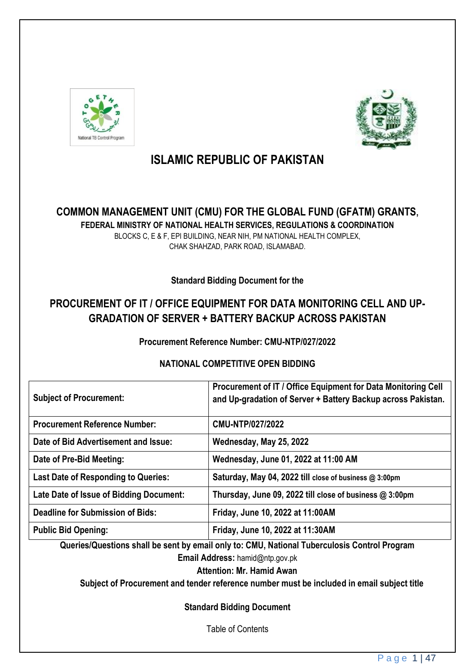



# **ISLAMIC REPUBLIC OF PAKISTAN**

## **COMMON MANAGEMENT UNIT (CMU) FOR THE GLOBAL FUND (GFATM) GRANTS, FEDERAL MINISTRY OF NATIONAL HEALTH SERVICES, REGULATIONS & COORDINATION**

BLOCKS C, E & F, EPI BUILDING, NEAR NIH, PM NATIONAL HEALTH COMPLEX, CHAK SHAHZAD, PARK ROAD, ISLAMABAD.

**Standard Bidding Document for the**

# **PROCUREMENT OF IT / OFFICE EQUIPMENT FOR DATA MONITORING CELL AND UP-GRADATION OF SERVER + BATTERY BACKUP ACROSS PAKISTAN**

**Procurement Reference Number: CMU-NTP/027/2022**

#### **NATIONAL COMPETITIVE OPEN BIDDING**

| <b>Subject of Procurement:</b>             | Procurement of IT / Office Equipment for Data Monitoring Cell<br>and Up-gradation of Server + Battery Backup across Pakistan. |
|--------------------------------------------|-------------------------------------------------------------------------------------------------------------------------------|
| <b>Procurement Reference Number:</b>       | CMU-NTP/027/2022                                                                                                              |
| Date of Bid Advertisement and Issue:       | Wednesday, May 25, 2022                                                                                                       |
| Date of Pre-Bid Meeting:                   | Wednesday, June 01, 2022 at 11:00 AM                                                                                          |
| <b>Last Date of Responding to Queries:</b> | Saturday, May 04, 2022 till close of business @ 3:00pm                                                                        |
| Late Date of Issue of Bidding Document:    | Thursday, June 09, 2022 till close of business @ 3:00pm                                                                       |
| Deadline for Submission of Bids:           | Friday, June 10, 2022 at 11:00AM                                                                                              |
| <b>Public Bid Opening:</b>                 | Friday, June 10, 2022 at 11:30AM                                                                                              |

**Queries/Questions shall be sent by email only to: CMU, National Tuberculosis Control Program Email Address:** hamid@ntp.gov.pk

**Attention: Mr. Hamid Awan**

**Subject of Procurement and tender reference number must be included in email subject title** 

**Standard Bidding Document**

Table of Contents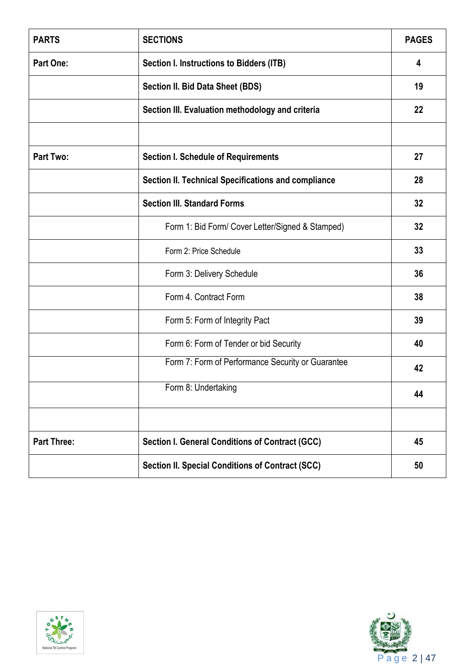| <b>PARTS</b>       | <b>SECTIONS</b>                                         | <b>PAGES</b> |
|--------------------|---------------------------------------------------------|--------------|
| Part One:          | Section I. Instructions to Bidders (ITB)                | 4            |
|                    | Section II. Bid Data Sheet (BDS)                        | 19           |
|                    | Section III. Evaluation methodology and criteria        | 22           |
|                    |                                                         |              |
| Part Two:          | <b>Section I. Schedule of Requirements</b>              | 27           |
|                    | Section II. Technical Specifications and compliance     | 28           |
|                    | <b>Section III. Standard Forms</b>                      | 32           |
|                    | Form 1: Bid Form/ Cover Letter/Signed & Stamped)        | 32           |
|                    | Form 2: Price Schedule                                  | 33           |
|                    | Form 3: Delivery Schedule                               | 36           |
|                    | Form 4. Contract Form                                   | 38           |
|                    | Form 5: Form of Integrity Pact                          | 39           |
|                    | Form 6: Form of Tender or bid Security                  | 40           |
|                    | Form 7: Form of Performance Security or Guarantee       | 42           |
|                    | Form 8: Undertaking                                     | 44           |
|                    |                                                         |              |
| <b>Part Three:</b> | Section I. General Conditions of Contract (GCC)         | 45           |
|                    | <b>Section II. Special Conditions of Contract (SCC)</b> | 50           |



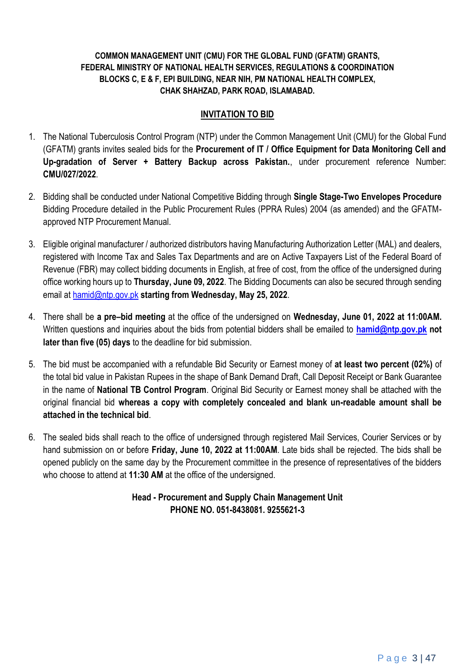#### **COMMON MANAGEMENT UNIT (CMU) FOR THE GLOBAL FUND (GFATM) GRANTS, FEDERAL MINISTRY OF NATIONAL HEALTH SERVICES, REGULATIONS & COORDINATION BLOCKS C, E & F, EPI BUILDING, NEAR NIH, PM NATIONAL HEALTH COMPLEX, CHAK SHAHZAD, PARK ROAD, ISLAMABAD.**

#### **INVITATION TO BID**

- 1. The National Tuberculosis Control Program (NTP) under the Common Management Unit (CMU) for the Global Fund (GFATM) grants invites sealed bids for the **Procurement of IT / Office Equipment for Data Monitoring Cell and Up-gradation of Server + Battery Backup across Pakistan.**, under procurement reference Number: **CMU/027/2022**.
- 2. Bidding shall be conducted under National Competitive Bidding through **Single Stage-Two Envelopes Procedure** Bidding Procedure detailed in the Public Procurement Rules (PPRA Rules) 2004 (as amended) and the GFATMapproved NTP Procurement Manual.
- 3. Eligible original manufacturer / authorized distributors having Manufacturing Authorization Letter (MAL) and dealers, registered with Income Tax and Sales Tax Departments and are on Active Taxpayers List of the Federal Board of Revenue (FBR) may collect bidding documents in English, at free of cost, from the office of the undersigned during office working hours up to **Thursday, June 09, 2022**. The Bidding Documents can also be secured through sending email at [hamid@ntp.gov.pk](mailto:hamid@ntp.gov.pk) **starting from Wednesday, May 25, 2022**.
- 4. There shall be **a pre–bid meeting** at the office of the undersigned on **Wednesday, June 01, 2022 at 11:00AM.**  Written questions and inquiries about the bids from potential bidders shall be emailed to **[hamid@ntp.gov.pk](mailto:hamid@ntp.gov.pk) not later than five (05) days** to the deadline for bid submission.
- 5. The bid must be accompanied with a refundable Bid Security or Earnest money of **at least two percent (02%)** of the total bid value in Pakistan Rupees in the shape of Bank Demand Draft, Call Deposit Receipt or Bank Guarantee in the name of **National TB Control Program**. Original Bid Security or Earnest money shall be attached with the original financial bid **whereas a copy with completely concealed and blank un-readable amount shall be attached in the technical bid**.
- 6. The sealed bids shall reach to the office of undersigned through registered Mail Services, Courier Services or by hand submission on or before **Friday, June 10, 2022 at 11:00AM**. Late bids shall be rejected. The bids shall be opened publicly on the same day by the Procurement committee in the presence of representatives of the bidders who choose to attend at **11:30 AM** at the office of the undersigned.

#### **Head - Procurement and Supply Chain Management Unit PHONE NO. 051-8438081. 9255621-3**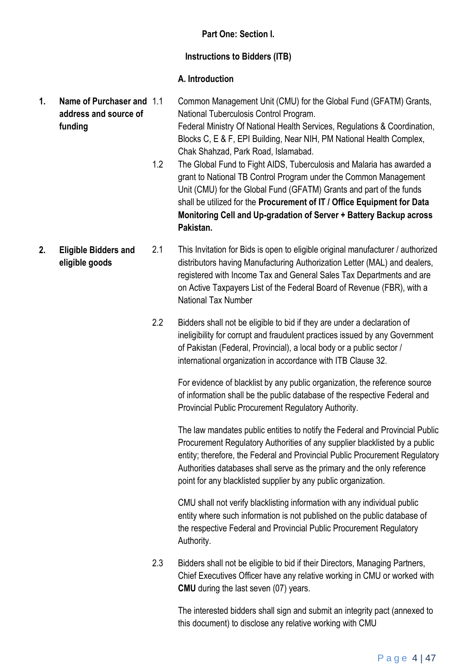#### **Part One: Section I.**

## **Instructions to Bidders (ITB)**

#### **A. Introduction**

- **1. Name of Purchaser and address and source of funding**  1.1 Common Management Unit (CMU) for the Global Fund (GFATM) Grants, National Tuberculosis Control Program. Federal Ministry Of National Health Services, Regulations & Coordination, Blocks C, E & F, EPI Building, Near NIH, PM National Health Complex, Chak Shahzad, Park Road, Islamabad. 1.2 The Global Fund to Fight AIDS, Tuberculosis and Malaria has awarded a grant to National TB Control Program under the Common Management Unit (CMU) for the Global Fund (GFATM) Grants and part of the funds shall be utilized for the **Procurement of IT / Office Equipment for Data Monitoring Cell and Up-gradation of Server + Battery Backup across Pakistan. 2. Eligible Bidders and**  2.1 This Invitation for Bids is open to eligible original manufacturer / authorized
	- **eligible goods**  distributors having Manufacturing Authorization Letter (MAL) and dealers, registered with Income Tax and General Sales Tax Departments and are on Active Taxpayers List of the Federal Board of Revenue (FBR), with a National Tax Number
		- 2.2 Bidders shall not be eligible to bid if they are under a declaration of ineligibility for corrupt and fraudulent practices issued by any Government of Pakistan (Federal, Provincial), a local body or a public sector / international organization in accordance with ITB Clause 32.

For evidence of blacklist by any public organization, the reference source of information shall be the public database of the respective Federal and Provincial Public Procurement Regulatory Authority.

The law mandates public entities to notify the Federal and Provincial Public Procurement Regulatory Authorities of any supplier blacklisted by a public entity; therefore, the Federal and Provincial Public Procurement Regulatory Authorities databases shall serve as the primary and the only reference point for any blacklisted supplier by any public organization.

CMU shall not verify blacklisting information with any individual public entity where such information is not published on the public database of the respective Federal and Provincial Public Procurement Regulatory Authority.

2.3 Bidders shall not be eligible to bid if their Directors, Managing Partners, Chief Executives Officer have any relative working in CMU or worked with **CMU** during the last seven (07) years.

The interested bidders shall sign and submit an integrity pact (annexed to this document) to disclose any relative working with CMU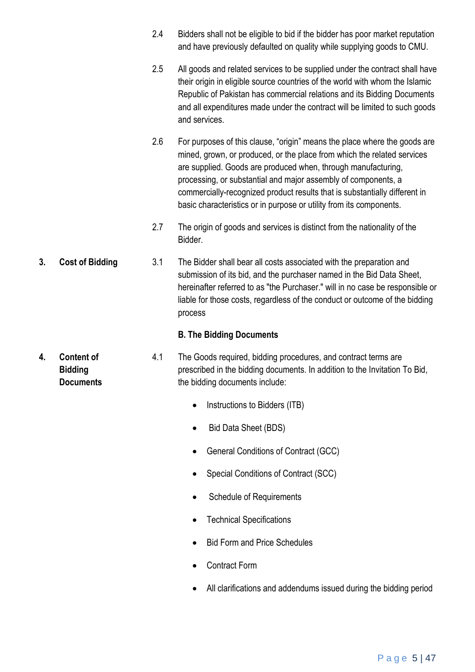| 2.4 | Bidders shall not be eligible to bid if the bidder has poor market reputation |
|-----|-------------------------------------------------------------------------------|
|     | and have previously defaulted on quality while supplying goods to CMU.        |

- 2.5 All goods and related services to be supplied under the contract shall have their origin in eligible source countries of the world with whom the Islamic Republic of Pakistan has commercial relations and its Bidding Documents and all expenditures made under the contract will be limited to such goods and services.
- 2.6 For purposes of this clause, "origin" means the place where the goods are mined, grown, or produced, or the place from which the related services are supplied. Goods are produced when, through manufacturing, processing, or substantial and major assembly of components, a commercially-recognized product results that is substantially different in basic characteristics or in purpose or utility from its components.
- 2.7 The origin of goods and services is distinct from the nationality of the Bidder.
- **3. Cost of Bidding** 3.1 The Bidder shall bear all costs associated with the preparation and submission of its bid, and the purchaser named in the Bid Data Sheet, hereinafter referred to as "the Purchaser." will in no case be responsible or liable for those costs, regardless of the conduct or outcome of the bidding process

#### **B. The Bidding Documents**

- **4. Content of Bidding Documents** 4.1 The Goods required, bidding procedures, and contract terms are prescribed in the bidding documents. In addition to the Invitation To Bid, the bidding documents include:
	- Instructions to Bidders (ITB)
	- Bid Data Sheet (BDS)
	- General Conditions of Contract (GCC)
	- Special Conditions of Contract (SCC)
	- Schedule of Requirements
	- Technical Specifications
	- Bid Form and Price Schedules
	- Contract Form
	- All clarifications and addendums issued during the bidding period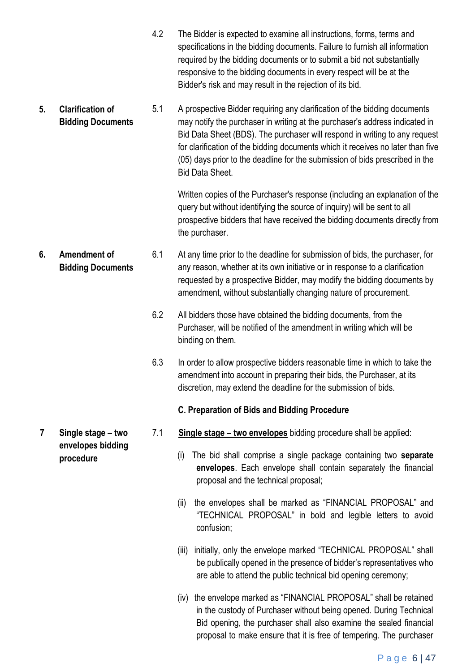|    |                                                     | 4.2 | The Bidder is expected to examine all instructions, forms, terms and<br>specifications in the bidding documents. Failure to furnish all information<br>required by the bidding documents or to submit a bid not substantially<br>responsive to the bidding documents in every respect will be at the<br>Bidder's risk and may result in the rejection of its bid.                                                                   |
|----|-----------------------------------------------------|-----|-------------------------------------------------------------------------------------------------------------------------------------------------------------------------------------------------------------------------------------------------------------------------------------------------------------------------------------------------------------------------------------------------------------------------------------|
| 5. | <b>Clarification of</b><br><b>Bidding Documents</b> | 5.1 | A prospective Bidder requiring any clarification of the bidding documents<br>may notify the purchaser in writing at the purchaser's address indicated in<br>Bid Data Sheet (BDS). The purchaser will respond in writing to any request<br>for clarification of the bidding documents which it receives no later than five<br>(05) days prior to the deadline for the submission of bids prescribed in the<br><b>Bid Data Sheet.</b> |
|    |                                                     |     | Written copies of the Purchaser's response (including an explanation of the<br>query but without identifying the source of inquiry) will be sent to all<br>prospective bidders that have received the bidding documents directly from<br>the purchaser.                                                                                                                                                                             |
| 6. | <b>Amendment of</b><br><b>Bidding Documents</b>     | 6.1 | At any time prior to the deadline for submission of bids, the purchaser, for<br>any reason, whether at its own initiative or in response to a clarification<br>requested by a prospective Bidder, may modify the bidding documents by<br>amendment, without substantially changing nature of procurement.                                                                                                                           |
|    |                                                     | 6.2 | All bidders those have obtained the bidding documents, from the<br>Purchaser, will be notified of the amendment in writing which will be<br>binding on them.                                                                                                                                                                                                                                                                        |
|    |                                                     | 6.3 | In order to allow prospective bidders reasonable time in which to take the<br>amendment into account in preparing their bids, the Purchaser, at its<br>discretion, may extend the deadline for the submission of bids.                                                                                                                                                                                                              |
|    |                                                     |     | <b>C. Preparation of Bids and Bidding Procedure</b>                                                                                                                                                                                                                                                                                                                                                                                 |
| 7  | Single stage – two                                  | 7.1 | Single stage - two envelopes bidding procedure shall be applied:                                                                                                                                                                                                                                                                                                                                                                    |
|    | envelopes bidding<br>procedure                      |     | The bid shall comprise a single package containing two separate<br>(i)<br>envelopes. Each envelope shall contain separately the financial<br>proposal and the technical proposal;                                                                                                                                                                                                                                                   |
|    |                                                     |     | the envelopes shall be marked as "FINANCIAL PROPOSAL" and<br>(ii)<br>"TECHNICAL PROPOSAL" in bold and legible letters to avoid<br>confusion;                                                                                                                                                                                                                                                                                        |
|    |                                                     |     | (iii) initially, only the envelope marked "TECHNICAL PROPOSAL" shall<br>be publically opened in the presence of bidder's representatives who<br>are able to attend the public technical bid opening ceremony;                                                                                                                                                                                                                       |
|    |                                                     |     | (iv) the envelope marked as "FINANCIAL PROPOSAL" shall be retained<br>in the custody of Purchaser without being opened. During Technical                                                                                                                                                                                                                                                                                            |

Bid opening, the purchaser shall also examine the sealed financial proposal to make ensure that it is free of tempering. The purchaser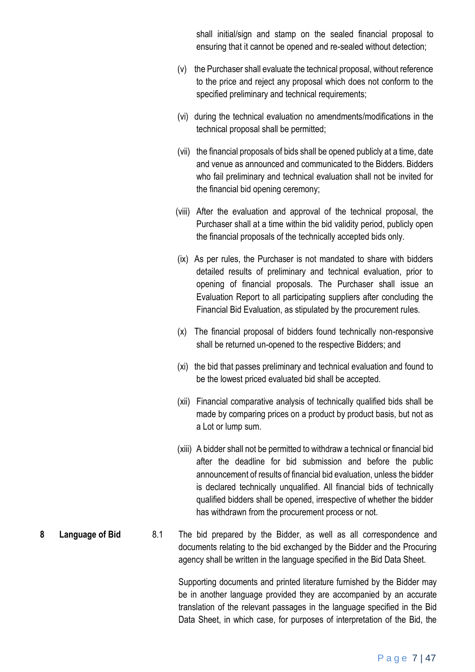shall initial/sign and stamp on the sealed financial proposal to ensuring that it cannot be opened and re-sealed without detection;

- (v) the Purchaser shall evaluate the technical proposal, without reference to the price and reject any proposal which does not conform to the specified preliminary and technical requirements;
- (vi) during the technical evaluation no amendments/modifications in the technical proposal shall be permitted;
- (vii) the financial proposals of bids shall be opened publicly at a time, date and venue as announced and communicated to the Bidders. Bidders who fail preliminary and technical evaluation shall not be invited for the financial bid opening ceremony;
- (viii) After the evaluation and approval of the technical proposal, the Purchaser shall at a time within the bid validity period, publicly open the financial proposals of the technically accepted bids only.
- (ix) As per rules, the Purchaser is not mandated to share with bidders detailed results of preliminary and technical evaluation, prior to opening of financial proposals. The Purchaser shall issue an Evaluation Report to all participating suppliers after concluding the Financial Bid Evaluation, as stipulated by the procurement rules.
- (x) The financial proposal of bidders found technically non-responsive shall be returned un-opened to the respective Bidders; and
- (xi) the bid that passes preliminary and technical evaluation and found to be the lowest priced evaluated bid shall be accepted.
- (xii) Financial comparative analysis of technically qualified bids shall be made by comparing prices on a product by product basis, but not as a Lot or lump sum.
- (xiii) A bidder shall not be permitted to withdraw a technical or financial bid after the deadline for bid submission and before the public announcement of results of financial bid evaluation, unless the bidder is declared technically unqualified. All financial bids of technically qualified bidders shall be opened, irrespective of whether the bidder has withdrawn from the procurement process or not.
- **8 Language of Bid** 8.1 The bid prepared by the Bidder, as well as all correspondence and documents relating to the bid exchanged by the Bidder and the Procuring agency shall be written in the language specified in the Bid Data Sheet.

Supporting documents and printed literature furnished by the Bidder may be in another language provided they are accompanied by an accurate translation of the relevant passages in the language specified in the Bid Data Sheet, in which case, for purposes of interpretation of the Bid, the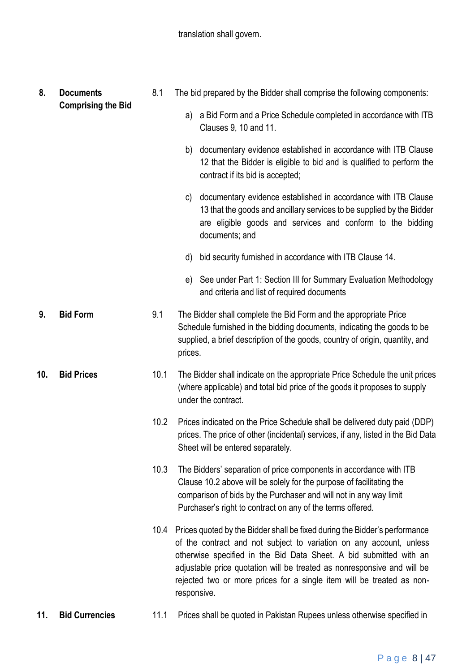| 8.  | <b>Documents</b>          | 8.1  | The bid prepared by the Bidder shall comprise the following components:                                                                                                                                                                                                                                                                                                                         |
|-----|---------------------------|------|-------------------------------------------------------------------------------------------------------------------------------------------------------------------------------------------------------------------------------------------------------------------------------------------------------------------------------------------------------------------------------------------------|
|     | <b>Comprising the Bid</b> |      | a Bid Form and a Price Schedule completed in accordance with ITB<br>a)<br>Clauses 9, 10 and 11.                                                                                                                                                                                                                                                                                                 |
|     |                           |      | b) documentary evidence established in accordance with ITB Clause<br>12 that the Bidder is eligible to bid and is qualified to perform the<br>contract if its bid is accepted;                                                                                                                                                                                                                  |
|     |                           |      | documentary evidence established in accordance with ITB Clause<br>C)<br>13 that the goods and ancillary services to be supplied by the Bidder<br>are eligible goods and services and conform to the bidding<br>documents; and                                                                                                                                                                   |
|     |                           |      | bid security furnished in accordance with ITB Clause 14.<br>d)                                                                                                                                                                                                                                                                                                                                  |
|     |                           |      | See under Part 1: Section III for Summary Evaluation Methodology<br>e)<br>and criteria and list of required documents                                                                                                                                                                                                                                                                           |
| 9.  | <b>Bid Form</b>           | 9.1  | The Bidder shall complete the Bid Form and the appropriate Price<br>Schedule furnished in the bidding documents, indicating the goods to be<br>supplied, a brief description of the goods, country of origin, quantity, and<br>prices.                                                                                                                                                          |
| 10. | <b>Bid Prices</b>         | 10.1 | The Bidder shall indicate on the appropriate Price Schedule the unit prices<br>(where applicable) and total bid price of the goods it proposes to supply<br>under the contract.                                                                                                                                                                                                                 |
|     |                           | 10.2 | Prices indicated on the Price Schedule shall be delivered duty paid (DDP)<br>prices. The price of other (incidental) services, if any, listed in the Bid Data<br>Sheet will be entered separately.                                                                                                                                                                                              |
|     |                           | 10.3 | The Bidders' separation of price components in accordance with ITB<br>Clause 10.2 above will be solely for the purpose of facilitating the<br>comparison of bids by the Purchaser and will not in any way limit<br>Purchaser's right to contract on any of the terms offered.                                                                                                                   |
|     |                           |      | 10.4 Prices quoted by the Bidder shall be fixed during the Bidder's performance<br>of the contract and not subject to variation on any account, unless<br>otherwise specified in the Bid Data Sheet. A bid submitted with an<br>adjustable price quotation will be treated as nonresponsive and will be<br>rejected two or more prices for a single item will be treated as non-<br>responsive. |
| 11. | <b>Bid Currencies</b>     | 11.1 | Prices shall be quoted in Pakistan Rupees unless otherwise specified in                                                                                                                                                                                                                                                                                                                         |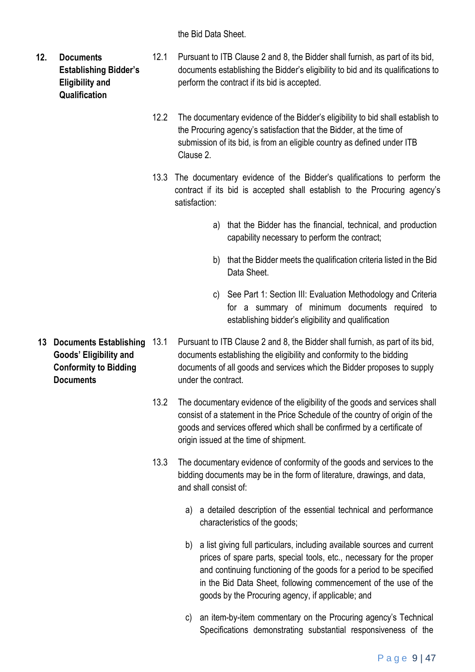the Bid Data Sheet.

- **12. Documents Establishing Bidder's Eligibility and Qualification**
- 12.1 Pursuant to ITB Clause 2 and 8, the Bidder shall furnish, as part of its bid, documents establishing the Bidder's eligibility to bid and its qualifications to perform the contract if its bid is accepted.
- 12.2 The documentary evidence of the Bidder's eligibility to bid shall establish to the Procuring agency's satisfaction that the Bidder, at the time of submission of its bid, is from an eligible country as defined under ITB Clause 2.
- 13.3 The documentary evidence of the Bidder's qualifications to perform the contract if its bid is accepted shall establish to the Procuring agency's satisfaction:
	- a) that the Bidder has the financial, technical, and production capability necessary to perform the contract;
	- b) that the Bidder meets the qualification criteria listed in the Bid Data Sheet.
	- c) See Part 1: Section III: Evaluation Methodology and Criteria for a summary of minimum documents required to establishing bidder's eligibility and qualification
- **13 Documents Establishing Goods' Eligibility and Conformity to Bidding Documents** 13.1 Pursuant to ITB Clause 2 and 8, the Bidder shall furnish, as part of its bid, documents establishing the eligibility and conformity to the bidding documents of all goods and services which the Bidder proposes to supply under the contract.
	- 13.2 The documentary evidence of the eligibility of the goods and services shall consist of a statement in the Price Schedule of the country of origin of the goods and services offered which shall be confirmed by a certificate of origin issued at the time of shipment.
	- 13.3 The documentary evidence of conformity of the goods and services to the bidding documents may be in the form of literature, drawings, and data, and shall consist of:
		- a) a detailed description of the essential technical and performance characteristics of the goods;
		- b) a list giving full particulars, including available sources and current prices of spare parts, special tools, etc., necessary for the proper and continuing functioning of the goods for a period to be specified in the Bid Data Sheet, following commencement of the use of the goods by the Procuring agency, if applicable; and
		- c) an item-by-item commentary on the Procuring agency's Technical Specifications demonstrating substantial responsiveness of the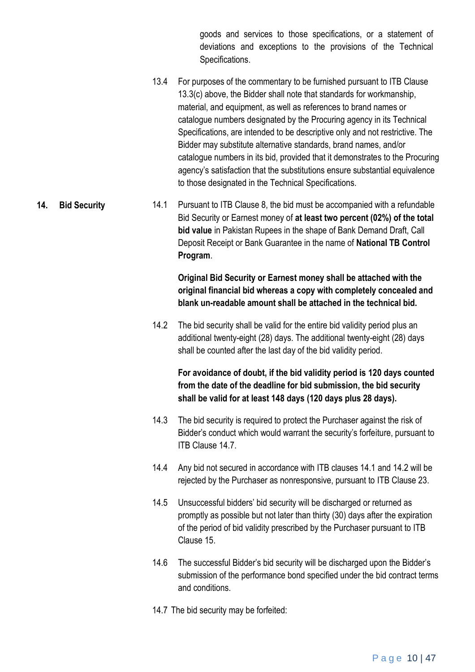goods and services to those specifications, or a statement of deviations and exceptions to the provisions of the Technical Specifications.

- 13.4 For purposes of the commentary to be furnished pursuant to ITB Clause 13.3(c) above, the Bidder shall note that standards for workmanship, material, and equipment, as well as references to brand names or catalogue numbers designated by the Procuring agency in its Technical Specifications, are intended to be descriptive only and not restrictive. The Bidder may substitute alternative standards, brand names, and/or catalogue numbers in its bid, provided that it demonstrates to the Procuring agency's satisfaction that the substitutions ensure substantial equivalence to those designated in the Technical Specifications.
- **14. Bid Security** 14.1 Pursuant to ITB Clause 8, the bid must be accompanied with a refundable Bid Security or Earnest money of **at least two percent (02%) of the total bid value** in Pakistan Rupees in the shape of Bank Demand Draft, Call Deposit Receipt or Bank Guarantee in the name of **National TB Control Program**.

#### **Original Bid Security or Earnest money shall be attached with the original financial bid whereas a copy with completely concealed and blank un-readable amount shall be attached in the technical bid.**

14.2 The bid security shall be valid for the entire bid validity period plus an additional twenty-eight (28) days. The additional twenty-eight (28) days shall be counted after the last day of the bid validity period.

#### **For avoidance of doubt, if the bid validity period is 120 days counted from the date of the deadline for bid submission, the bid security shall be valid for at least 148 days (120 days plus 28 days).**

- 14.3 The bid security is required to protect the Purchaser against the risk of Bidder's conduct which would warrant the security's forfeiture, pursuant to ITB Clause 14.7.
- 14.4 Any bid not secured in accordance with ITB clauses 14.1 and 14.2 will be rejected by the Purchaser as nonresponsive, pursuant to ITB Clause 23.
- 14.5 Unsuccessful bidders' bid security will be discharged or returned as promptly as possible but not later than thirty (30) days after the expiration of the period of bid validity prescribed by the Purchaser pursuant to ITB Clause 15.
- 14.6 The successful Bidder's bid security will be discharged upon the Bidder's submission of the performance bond specified under the bid contract terms and conditions.
- 14.7 The bid security may be forfeited: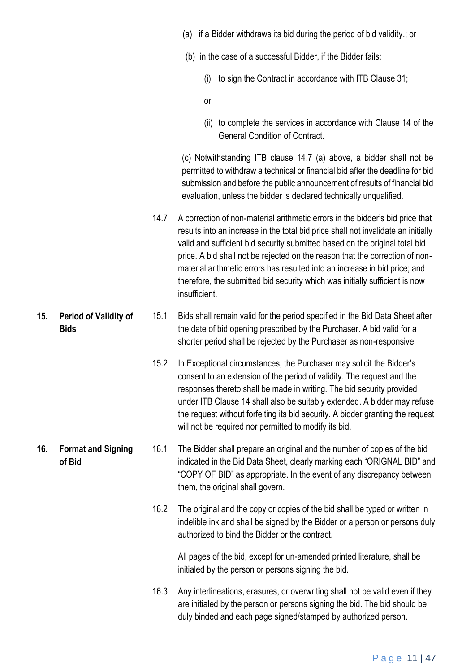- (a) if a Bidder withdraws its bid during the period of bid validity.; or
- (b) in the case of a successful Bidder, if the Bidder fails:
	- (i) to sign the Contract in accordance with ITB Clause 31;

or

(ii) to complete the services in accordance with Clause 14 of the General Condition of Contract.

(c) Notwithstanding ITB clause 14.7 (a) above, a bidder shall not be permitted to withdraw a technical or financial bid after the deadline for bid submission and before the public announcement of results of financial bid evaluation, unless the bidder is declared technically unqualified.

- 14.7 A correction of non-material arithmetic errors in the bidder's bid price that results into an increase in the total bid price shall not invalidate an initially valid and sufficient bid security submitted based on the original total bid price. A bid shall not be rejected on the reason that the correction of nonmaterial arithmetic errors has resulted into an increase in bid price; and therefore, the submitted bid security which was initially sufficient is now insufficient.
- **15. Period of Validity of Bids** 15.1 Bids shall remain valid for the period specified in the Bid Data Sheet after the date of bid opening prescribed by the Purchaser. A bid valid for a shorter period shall be rejected by the Purchaser as non-responsive.
	- 15.2 In Exceptional circumstances, the Purchaser may solicit the Bidder's consent to an extension of the period of validity. The request and the responses thereto shall be made in writing. The bid security provided under ITB Clause 14 shall also be suitably extended. A bidder may refuse the request without forfeiting its bid security. A bidder granting the request will not be required nor permitted to modify its bid.
- **16. Format and Signing of Bid** 16.1 The Bidder shall prepare an original and the number of copies of the bid indicated in the Bid Data Sheet, clearly marking each "ORIGNAL BID" and "COPY OF BID" as appropriate. In the event of any discrepancy between them, the original shall govern.
	- 16.2 The original and the copy or copies of the bid shall be typed or written in indelible ink and shall be signed by the Bidder or a person or persons duly authorized to bind the Bidder or the contract.

All pages of the bid, except for un-amended printed literature, shall be initialed by the person or persons signing the bid.

16.3 Any interlineations, erasures, or overwriting shall not be valid even if they are initialed by the person or persons signing the bid. The bid should be duly binded and each page signed/stamped by authorized person.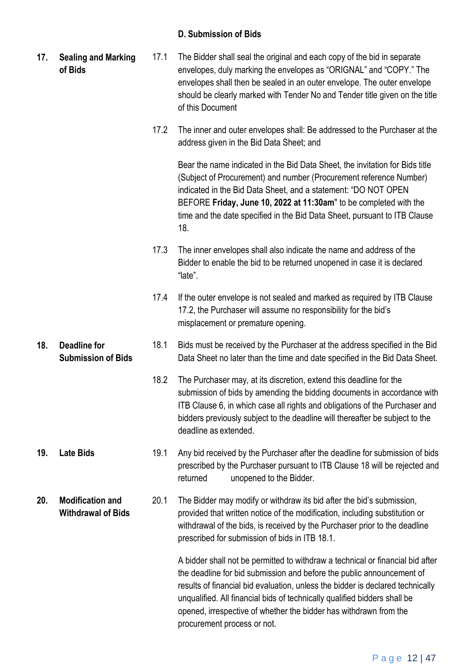#### **D. Submission of Bids**

- **17. Sealing and Marking of Bids** 17.1 The Bidder shall seal the original and each copy of the bid in separate envelopes, duly marking the envelopes as "ORIGNAL" and "COPY." The envelopes shall then be sealed in an outer envelope. The outer envelope should be clearly marked with Tender No and Tender title given on the title of this Document
	- 17.2 The inner and outer envelopes shall: Be addressed to the Purchaser at the address given in the Bid Data Sheet; and

Bear the name indicated in the Bid Data Sheet, the invitation for Bids title (Subject of Procurement) and number (Procurement reference Number) indicated in the Bid Data Sheet, and a statement: "DO NOT OPEN BEFORE **Friday, June 10, 2022 at 11:30am**" to be completed with the time and the date specified in the Bid Data Sheet, pursuant to ITB Clause 18.

- 17.3 The inner envelopes shall also indicate the name and address of the Bidder to enable the bid to be returned unopened in case it is declared "late".
- 17.4 If the outer envelope is not sealed and marked as required by ITB Clause 17.2, the Purchaser will assume no responsibility for the bid's misplacement or premature opening.
- 18.1 Bids must be received by the Purchaser at the address specified in the Bid Data Sheet no later than the time and date specified in the Bid Data Sheet.
	- 18.2 The Purchaser may, at its discretion, extend this deadline for the submission of bids by amending the bidding documents in accordance with ITB Clause 6, in which case all rights and obligations of the Purchaser and bidders previously subject to the deadline will thereafter be subject to the deadline as extended.
- **19. Late Bids** 19.1 Any bid received by the Purchaser after the deadline for submission of bids prescribed by the Purchaser pursuant to ITB Clause 18 will be rejected and returned unopened to the Bidder.
	- 20.1 The Bidder may modify or withdraw its bid after the bid's submission, provided that written notice of the modification, including substitution or withdrawal of the bids, is received by the Purchaser prior to the deadline prescribed for submission of bids in ITB 18.1.

A bidder shall not be permitted to withdraw a technical or financial bid after the deadline for bid submission and before the public announcement of results of financial bid evaluation, unless the bidder is declared technically unqualified. All financial bids of technically qualified bidders shall be opened, irrespective of whether the bidder has withdrawn from the procurement process or not.

**18. Deadline for Submission of Bids**

**20. Modification and Withdrawal of Bids**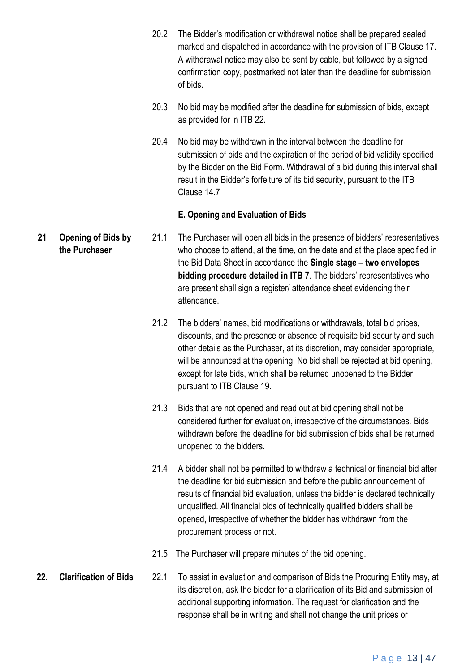- 20.2 The Bidder's modification or withdrawal notice shall be prepared sealed, marked and dispatched in accordance with the provision of ITB Clause 17. A withdrawal notice may also be sent by cable, but followed by a signed confirmation copy, postmarked not later than the deadline for submission of bids.
- 20.3 No bid may be modified after the deadline for submission of bids, except as provided for in ITB 22.
- 20.4 No bid may be withdrawn in the interval between the deadline for submission of bids and the expiration of the period of bid validity specified by the Bidder on the Bid Form. Withdrawal of a bid during this interval shall result in the Bidder's forfeiture of its bid security, pursuant to the ITB Clause 14.7

#### **E. Opening and Evaluation of Bids**

- **21 Opening of Bids by the Purchaser** 21.1 The Purchaser will open all bids in the presence of bidders' representatives who choose to attend, at the time, on the date and at the place specified in the Bid Data Sheet in accordance the **Single stage – two envelopes bidding procedure detailed in ITB 7**. The bidders' representatives who are present shall sign a register/ attendance sheet evidencing their attendance.
	- 21.2 The bidders' names, bid modifications or withdrawals, total bid prices, discounts, and the presence or absence of requisite bid security and such other details as the Purchaser, at its discretion, may consider appropriate, will be announced at the opening. No bid shall be rejected at bid opening, except for late bids, which shall be returned unopened to the Bidder pursuant to ITB Clause 19.
	- 21.3 Bids that are not opened and read out at bid opening shall not be considered further for evaluation, irrespective of the circumstances. Bids withdrawn before the deadline for bid submission of bids shall be returned unopened to the bidders.
	- 21.4 A bidder shall not be permitted to withdraw a technical or financial bid after the deadline for bid submission and before the public announcement of results of financial bid evaluation, unless the bidder is declared technically unqualified. All financial bids of technically qualified bidders shall be opened, irrespective of whether the bidder has withdrawn from the procurement process or not.
	- 21.5 The Purchaser will prepare minutes of the bid opening.
- **22. Clarification of Bids** 22.1 To assist in evaluation and comparison of Bids the Procuring Entity may, at its discretion, ask the bidder for a clarification of its Bid and submission of additional supporting information. The request for clarification and the response shall be in writing and shall not change the unit prices or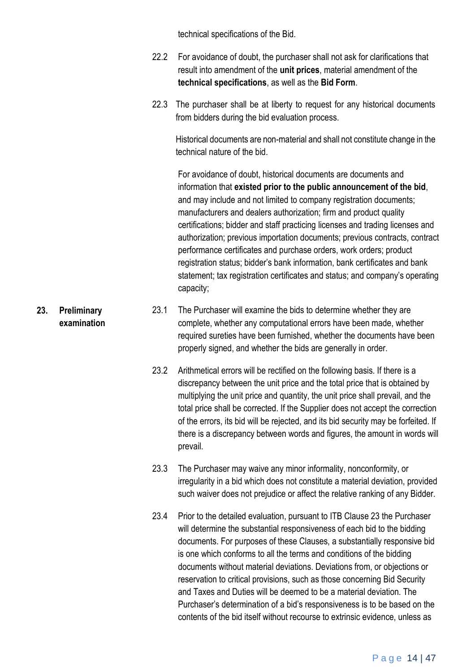technical specifications of the Bid.

- 22.2 For avoidance of doubt, the purchaser shall not ask for clarifications that result into amendment of the **unit prices**, material amendment of the **technical specifications**, as well as the **Bid Form**.
- 22.3 The purchaser shall be at liberty to request for any historical documents from bidders during the bid evaluation process.

Historical documents are non-material and shall not constitute change in the technical nature of the bid.

For avoidance of doubt, historical documents are documents and information that **existed prior to the public announcement of the bid**, and may include and not limited to company registration documents; manufacturers and dealers authorization; firm and product quality certifications; bidder and staff practicing licenses and trading licenses and authorization; previous importation documents; previous contracts, contract performance certificates and purchase orders, work orders; product registration status; bidder's bank information, bank certificates and bank statement; tax registration certificates and status; and company's operating capacity;

- **23. Preliminary examination** 23.1 The Purchaser will examine the bids to determine whether they are complete, whether any computational errors have been made, whether required sureties have been furnished, whether the documents have been properly signed, and whether the bids are generally in order.
	- 23.2 Arithmetical errors will be rectified on the following basis. If there is a discrepancy between the unit price and the total price that is obtained by multiplying the unit price and quantity, the unit price shall prevail, and the total price shall be corrected. If the Supplier does not accept the correction of the errors, its bid will be rejected, and its bid security may be forfeited. If there is a discrepancy between words and figures, the amount in words will prevail.
	- 23.3 The Purchaser may waive any minor informality, nonconformity, or irregularity in a bid which does not constitute a material deviation, provided such waiver does not prejudice or affect the relative ranking of any Bidder.
	- 23.4 Prior to the detailed evaluation, pursuant to ITB Clause 23 the Purchaser will determine the substantial responsiveness of each bid to the bidding documents. For purposes of these Clauses, a substantially responsive bid is one which conforms to all the terms and conditions of the bidding documents without material deviations. Deviations from, or objections or reservation to critical provisions, such as those concerning Bid Security and Taxes and Duties will be deemed to be a material deviation. The Purchaser's determination of a bid's responsiveness is to be based on the contents of the bid itself without recourse to extrinsic evidence, unless as

#### Page 14 | 47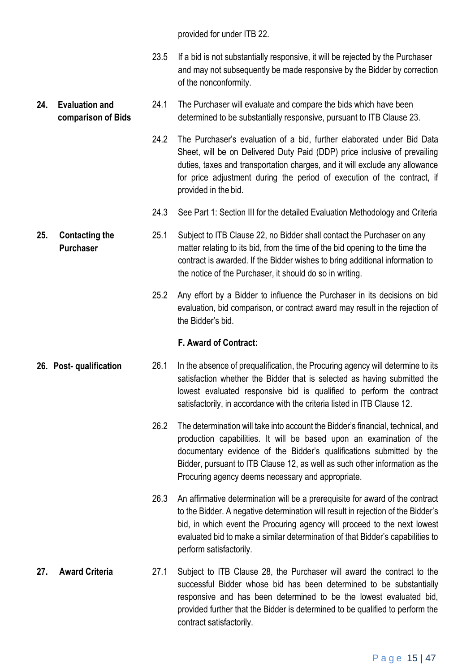provided for under ITB 22.

23.5 If a bid is not substantially responsive, it will be rejected by the Purchaser and may not subsequently be made responsive by the Bidder by correction of the nonconformity.

#### **24. Evaluation and comparison of Bids** 24.1 The Purchaser will evaluate and compare the bids which have been determined to be substantially responsive, pursuant to ITB Clause 23.

- 24.2 The Purchaser's evaluation of a bid, further elaborated under Bid Data Sheet, will be on Delivered Duty Paid (DDP) price inclusive of prevailing duties, taxes and transportation charges, and it will exclude any allowance for price adjustment during the period of execution of the contract, if provided in the bid.
- 24.3 See Part 1: Section III for the detailed Evaluation Methodology and Criteria

#### **25. Contacting the Purchaser** 25.1 Subject to ITB Clause 22, no Bidder shall contact the Purchaser on any matter relating to its bid, from the time of the bid opening to the time the contract is awarded. If the Bidder wishes to bring additional information to the notice of the Purchaser, it should do so in writing.

25.2 Any effort by a Bidder to influence the Purchaser in its decisions on bid evaluation, bid comparison, or contract award may result in the rejection of the Bidder's bid.

#### **F. Award of Contract:**

- **26. Post- qualification** 26.1 In the absence of prequalification, the Procuring agency will determine to its satisfaction whether the Bidder that is selected as having submitted the lowest evaluated responsive bid is qualified to perform the contract satisfactorily, in accordance with the criteria listed in ITB Clause 12.
	- 26.2 The determination will take into account the Bidder's financial, technical, and production capabilities. It will be based upon an examination of the documentary evidence of the Bidder's qualifications submitted by the Bidder, pursuant to ITB Clause 12, as well as such other information as the Procuring agency deems necessary and appropriate.
	- 26.3 An affirmative determination will be a prerequisite for award of the contract to the Bidder. A negative determination will result in rejection of the Bidder's bid, in which event the Procuring agency will proceed to the next lowest evaluated bid to make a similar determination of that Bidder's capabilities to perform satisfactorily.
- **27. Award Criteria** 27.1 Subject to ITB Clause 28, the Purchaser will award the contract to the successful Bidder whose bid has been determined to be substantially responsive and has been determined to be the lowest evaluated bid, provided further that the Bidder is determined to be qualified to perform the contract satisfactorily.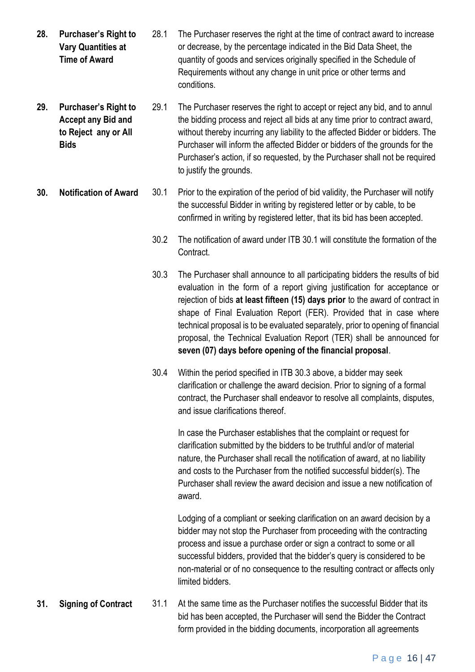- **28. Purchaser's Right to Vary Quantities at Time of Award** 28.1 The Purchaser reserves the right at the time of contract award to increase or decrease, by the percentage indicated in the Bid Data Sheet, the quantity of goods and services originally specified in the Schedule of Requirements without any change in unit price or other terms and conditions.
- **29. Purchaser's Right to Accept any Bid and to Reject any or All Bids** 29.1 The Purchaser reserves the right to accept or reject any bid, and to annul the bidding process and reject all bids at any time prior to contract award, without thereby incurring any liability to the affected Bidder or bidders. The Purchaser will inform the affected Bidder or bidders of the grounds for the Purchaser's action, if so requested, by the Purchaser shall not be required to justify the grounds.
- **30. Notification of Award** 30.1 Prior to the expiration of the period of bid validity, the Purchaser will notify the successful Bidder in writing by registered letter or by cable, to be confirmed in writing by registered letter, that its bid has been accepted.
	- 30.2 The notification of award under ITB 30.1 will constitute the formation of the Contract.
	- 30.3 The Purchaser shall announce to all participating bidders the results of bid evaluation in the form of a report giving justification for acceptance or rejection of bids **at least fifteen (15) days prior** to the award of contract in shape of Final Evaluation Report (FER). Provided that in case where technical proposal is to be evaluated separately, prior to opening of financial proposal, the Technical Evaluation Report (TER) shall be announced for **seven (07) days before opening of the financial proposal**.
	- 30.4 Within the period specified in ITB 30.3 above, a bidder may seek clarification or challenge the award decision. Prior to signing of a formal contract, the Purchaser shall endeavor to resolve all complaints, disputes, and issue clarifications thereof.

In case the Purchaser establishes that the complaint or request for clarification submitted by the bidders to be truthful and/or of material nature, the Purchaser shall recall the notification of award, at no liability and costs to the Purchaser from the notified successful bidder(s). The Purchaser shall review the award decision and issue a new notification of award.

Lodging of a compliant or seeking clarification on an award decision by a bidder may not stop the Purchaser from proceeding with the contracting process and issue a purchase order or sign a contract to some or all successful bidders, provided that the bidder's query is considered to be non-material or of no consequence to the resulting contract or affects only limited bidders.

**31. Signing of Contract** 31.1 At the same time as the Purchaser notifies the successful Bidder that its bid has been accepted, the Purchaser will send the Bidder the Contract form provided in the bidding documents, incorporation all agreements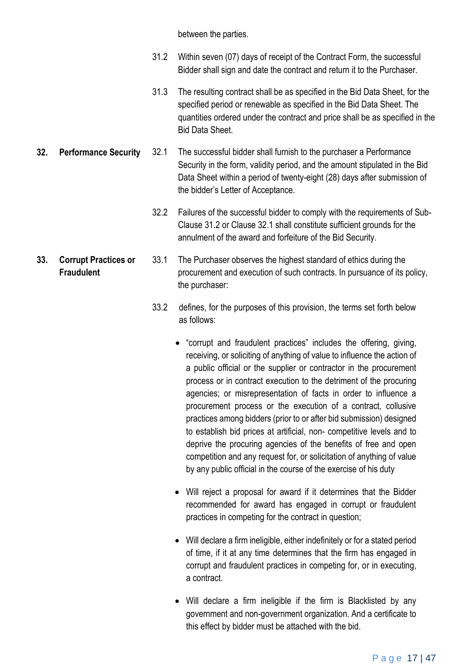between the parties.

- 31.2 Within seven (07) days of receipt of the Contract Form, the successful Bidder shall sign and date the contract and return it to the Purchaser.
- 31.3 The resulting contract shall be as specified in the Bid Data Sheet, for the specified period or renewable as specified in the Bid Data Sheet. The quantities ordered under the contract and price shall be as specified in the Bid Data Sheet.
- **32. Performance Security** 32.1 The successful bidder shall furnish to the purchaser a Performance Security in the form, validity period, and the amount stipulated in the Bid Data Sheet within a period of twenty-eight (28) days after submission of the bidder's Letter of Acceptance.
	- 32.2 Failures of the successful bidder to comply with the requirements of Sub-Clause 31.2 or Clause 32.1 shall constitute sufficient grounds for the annulment of the award and forfeiture of the Bid Security.
- **33. Corrupt Practices or Fraudulent** 33.1 The Purchaser observes the highest standard of ethics during the procurement and execution of such contracts. In pursuance of its policy, the purchaser:
	- 33.2 defines, for the purposes of this provision, the terms set forth below as follows:
		- "corrupt and fraudulent practices" includes the offering, giving, receiving, or soliciting of anything of value to influence the action of a public official or the supplier or contractor in the procurement process or in contract execution to the detriment of the procuring agencies; or misrepresentation of facts in order to influence a procurement process or the execution of a contract, collusive practices among bidders (prior to or after bid submission) designed to establish bid prices at artificial, non- competitive levels and to deprive the procuring agencies of the benefits of free and open competition and any request for, or solicitation of anything of value by any public official in the course of the exercise of his duty
		- Will reject a proposal for award if it determines that the Bidder recommended for award has engaged in corrupt or fraudulent practices in competing for the contract in question;
		- Will declare a firm ineligible, either indefinitely or for a stated period of time, if it at any time determines that the firm has engaged in corrupt and fraudulent practices in competing for, or in executing, a contract.
		- Will declare a firm ineligible if the firm is Blacklisted by any government and non-government organization. And a certificate to this effect by bidder must be attached with the bid.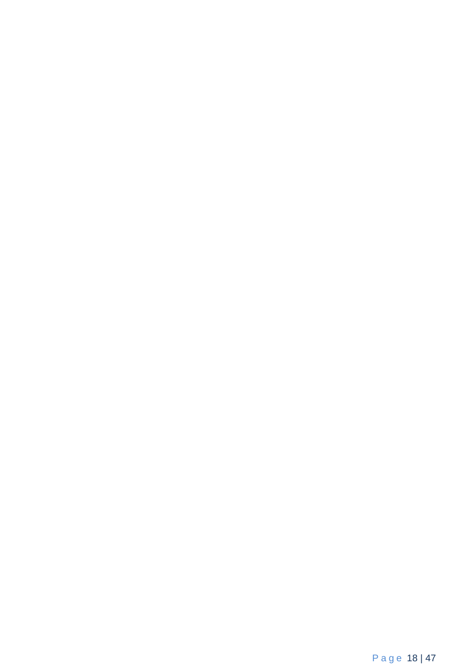P a g e 18 | 47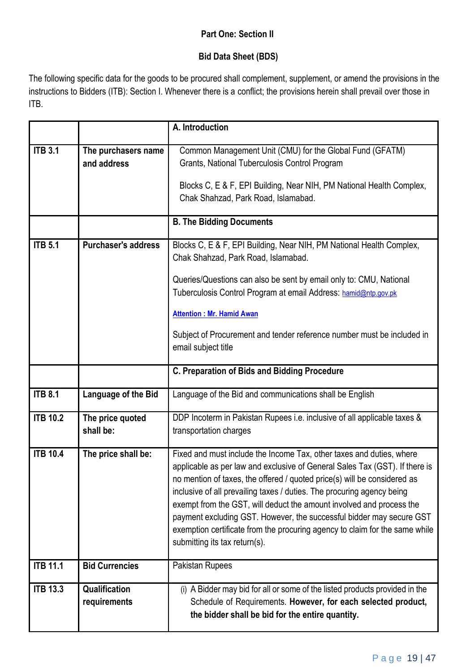### **Part One: Section II**

#### **Bid Data Sheet (BDS)**

The following specific data for the goods to be procured shall complement, supplement, or amend the provisions in the instructions to Bidders (ITB): Section I. Whenever there is a conflict; the provisions herein shall prevail over those in ITB.

|                 |                                    | A. Introduction                                                                                                                                                                                                                                                                                                                                                                                                                                                                                                                                                           |  |  |
|-----------------|------------------------------------|---------------------------------------------------------------------------------------------------------------------------------------------------------------------------------------------------------------------------------------------------------------------------------------------------------------------------------------------------------------------------------------------------------------------------------------------------------------------------------------------------------------------------------------------------------------------------|--|--|
| <b>ITB 3.1</b>  | The purchasers name<br>and address | Common Management Unit (CMU) for the Global Fund (GFATM)<br>Grants, National Tuberculosis Control Program<br>Blocks C, E & F, EPI Building, Near NIH, PM National Health Complex,<br>Chak Shahzad, Park Road, Islamabad.                                                                                                                                                                                                                                                                                                                                                  |  |  |
|                 |                                    | <b>B. The Bidding Documents</b>                                                                                                                                                                                                                                                                                                                                                                                                                                                                                                                                           |  |  |
| <b>ITB 5.1</b>  | <b>Purchaser's address</b>         | Blocks C, E & F, EPI Building, Near NIH, PM National Health Complex,<br>Chak Shahzad, Park Road, Islamabad.<br>Queries/Questions can also be sent by email only to: CMU, National<br>Tuberculosis Control Program at email Address: hamid@ntp.gov.pk<br><b>Attention: Mr. Hamid Awan</b><br>Subject of Procurement and tender reference number must be included in<br>email subject title                                                                                                                                                                                 |  |  |
|                 |                                    | <b>C. Preparation of Bids and Bidding Procedure</b>                                                                                                                                                                                                                                                                                                                                                                                                                                                                                                                       |  |  |
| <b>ITB 8.1</b>  | Language of the Bid                | Language of the Bid and communications shall be English                                                                                                                                                                                                                                                                                                                                                                                                                                                                                                                   |  |  |
| <b>ITB 10.2</b> | The price quoted<br>shall be:      | DDP Incoterm in Pakistan Rupees i.e. inclusive of all applicable taxes &<br>transportation charges                                                                                                                                                                                                                                                                                                                                                                                                                                                                        |  |  |
| <b>ITB 10.4</b> | The price shall be:                | Fixed and must include the Income Tax, other taxes and duties, where<br>applicable as per law and exclusive of General Sales Tax (GST). If there is<br>no mention of taxes, the offered / quoted price(s) will be considered as<br>inclusive of all prevailing taxes / duties. The procuring agency being<br>exempt from the GST, will deduct the amount involved and process the<br>payment excluding GST. However, the successful bidder may secure GST<br>exemption certificate from the procuring agency to claim for the same while<br>submitting its tax return(s). |  |  |
| <b>ITB 11.1</b> | <b>Bid Currencies</b>              | Pakistan Rupees                                                                                                                                                                                                                                                                                                                                                                                                                                                                                                                                                           |  |  |
| <b>ITB 13.3</b> | Qualification<br>requirements      | (i) A Bidder may bid for all or some of the listed products provided in the<br>Schedule of Requirements. However, for each selected product,<br>the bidder shall be bid for the entire quantity.                                                                                                                                                                                                                                                                                                                                                                          |  |  |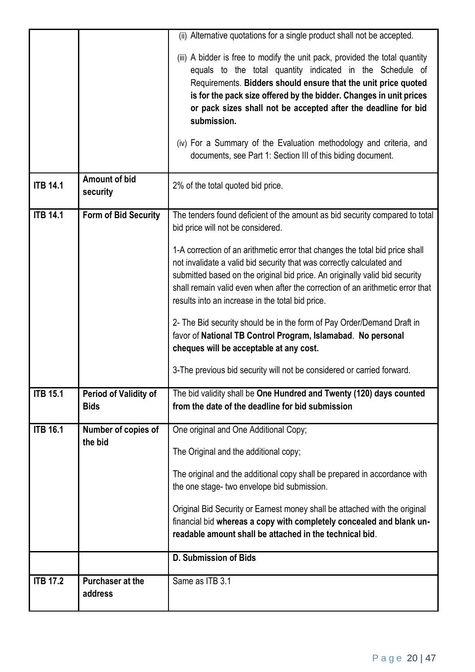|                 |                                             | (ii) Alternative quotations for a single product shall not be accepted.                                                                                                                                                                                                                                                                                                   |  |  |
|-----------------|---------------------------------------------|---------------------------------------------------------------------------------------------------------------------------------------------------------------------------------------------------------------------------------------------------------------------------------------------------------------------------------------------------------------------------|--|--|
|                 |                                             | (iii) A bidder is free to modify the unit pack, provided the total quantity<br>equals to the total quantity indicated in the Schedule of<br>Requirements. Bidders should ensure that the unit price quoted<br>is for the pack size offered by the bidder. Changes in unit prices<br>or pack sizes shall not be accepted after the deadline for bid<br>submission.         |  |  |
|                 |                                             | (iv) For a Summary of the Evaluation methodology and criteria, and<br>documents, see Part 1: Section III of this biding document.                                                                                                                                                                                                                                         |  |  |
| <b>ITB 14.1</b> | <b>Amount of bid</b><br>security            | 2% of the total quoted bid price.                                                                                                                                                                                                                                                                                                                                         |  |  |
| <b>ITB 14.1</b> | Form of Bid Security                        | The tenders found deficient of the amount as bid security compared to total<br>bid price will not be considered.                                                                                                                                                                                                                                                          |  |  |
|                 |                                             | 1-A correction of an arithmetic error that changes the total bid price shall<br>not invalidate a valid bid security that was correctly calculated and<br>submitted based on the original bid price. An originally valid bid security<br>shall remain valid even when after the correction of an arithmetic error that<br>results into an increase in the total bid price. |  |  |
|                 |                                             | 2- The Bid security should be in the form of Pay Order/Demand Draft in<br>favor of National TB Control Program, Islamabad. No personal<br>cheques will be acceptable at any cost.                                                                                                                                                                                         |  |  |
|                 |                                             | 3-The previous bid security will not be considered or carried forward.                                                                                                                                                                                                                                                                                                    |  |  |
| <b>ITB 15.1</b> | <b>Period of Validity of</b><br><b>Bids</b> | The bid validity shall be One Hundred and Twenty (120) days counted<br>from the date of the deadline for bid submission                                                                                                                                                                                                                                                   |  |  |
| <b>ITB 16.1</b> | Number of copies of                         | One original and One Additional Copy;                                                                                                                                                                                                                                                                                                                                     |  |  |
|                 | the bid                                     | The Original and the additional copy;                                                                                                                                                                                                                                                                                                                                     |  |  |
|                 |                                             | The original and the additional copy shall be prepared in accordance with<br>the one stage-two envelope bid submission.                                                                                                                                                                                                                                                   |  |  |
|                 |                                             | Original Bid Security or Earnest money shall be attached with the original<br>financial bid whereas a copy with completely concealed and blank un-<br>readable amount shall be attached in the technical bid.                                                                                                                                                             |  |  |
|                 |                                             | D. Submission of Bids                                                                                                                                                                                                                                                                                                                                                     |  |  |
| <b>ITB 17.2</b> | <b>Purchaser at the</b><br>address          | Same as ITB 3.1                                                                                                                                                                                                                                                                                                                                                           |  |  |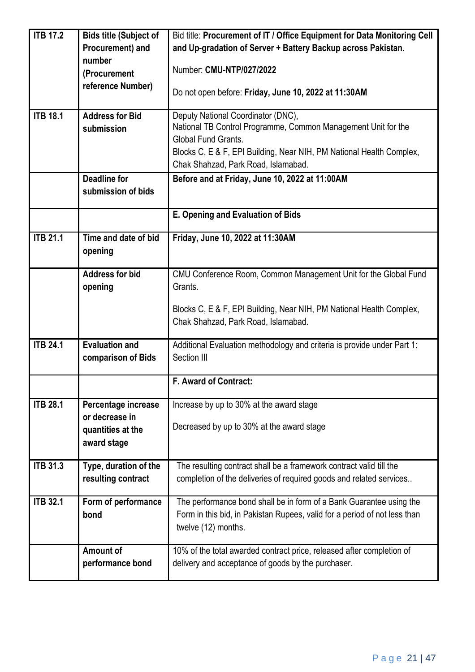| <b>ITB 17.2</b> | <b>Bids title (Subject of</b>    | Bid title: Procurement of IT / Office Equipment for Data Monitoring Cell             |  |  |
|-----------------|----------------------------------|--------------------------------------------------------------------------------------|--|--|
|                 | Procurement) and                 | and Up-gradation of Server + Battery Backup across Pakistan.                         |  |  |
|                 | number                           | Number: CMU-NTP/027/2022                                                             |  |  |
|                 | (Procurement                     |                                                                                      |  |  |
|                 | reference Number)                | Do not open before: Friday, June 10, 2022 at 11:30AM                                 |  |  |
| <b>ITB 18.1</b> | <b>Address for Bid</b>           | Deputy National Coordinator (DNC),                                                   |  |  |
|                 | submission                       | National TB Control Programme, Common Management Unit for the<br>Global Fund Grants. |  |  |
|                 |                                  | Blocks C, E & F, EPI Building, Near NIH, PM National Health Complex,                 |  |  |
|                 |                                  | Chak Shahzad, Park Road, Islamabad.                                                  |  |  |
|                 | <b>Deadline for</b>              | Before and at Friday, June 10, 2022 at 11:00AM                                       |  |  |
|                 | submission of bids               |                                                                                      |  |  |
|                 |                                  | <b>E. Opening and Evaluation of Bids</b>                                             |  |  |
|                 |                                  |                                                                                      |  |  |
| <b>ITB 21.1</b> | Time and date of bid<br>opening  | Friday, June 10, 2022 at 11:30AM                                                     |  |  |
|                 |                                  |                                                                                      |  |  |
|                 | <b>Address for bid</b>           | CMU Conference Room, Common Management Unit for the Global Fund                      |  |  |
|                 | opening                          | Grants.                                                                              |  |  |
|                 |                                  | Blocks C, E & F, EPI Building, Near NIH, PM National Health Complex,                 |  |  |
|                 |                                  | Chak Shahzad, Park Road, Islamabad.                                                  |  |  |
| <b>ITB 24.1</b> | <b>Evaluation and</b>            | Additional Evaluation methodology and criteria is provide under Part 1:              |  |  |
|                 | comparison of Bids               | Section III                                                                          |  |  |
|                 |                                  | <b>F. Award of Contract:</b>                                                         |  |  |
|                 |                                  |                                                                                      |  |  |
| <b>ITB 28.1</b> | Percentage increase              | Increase by up to 30% at the award stage                                             |  |  |
|                 | or decrease in                   | Decreased by up to 30% at the award stage                                            |  |  |
|                 | quantities at the<br>award stage |                                                                                      |  |  |
|                 |                                  |                                                                                      |  |  |
| <b>ITB 31.3</b> | Type, duration of the            | The resulting contract shall be a framework contract valid till the                  |  |  |
|                 | resulting contract               | completion of the deliveries of required goods and related services                  |  |  |
| <b>ITB 32.1</b> | Form of performance              | The performance bond shall be in form of a Bank Guarantee using the                  |  |  |
|                 | bond                             | Form in this bid, in Pakistan Rupees, valid for a period of not less than            |  |  |
|                 |                                  | twelve (12) months.                                                                  |  |  |
|                 | Amount of                        | 10% of the total awarded contract price, released after completion of                |  |  |
|                 | performance bond                 | delivery and acceptance of goods by the purchaser.                                   |  |  |
|                 |                                  |                                                                                      |  |  |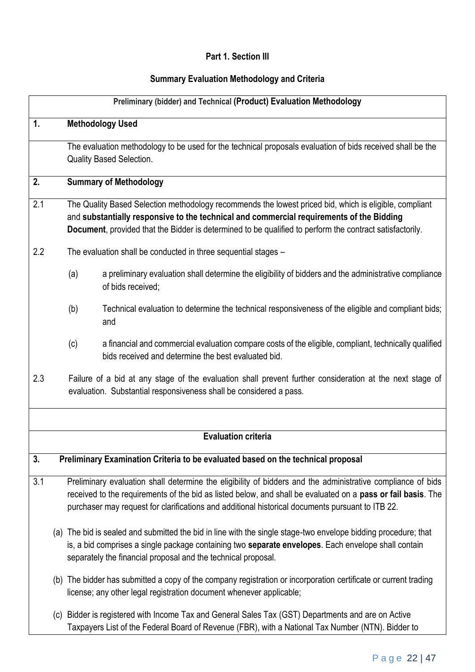#### **Part 1. Section III**

#### **Summary Evaluation Methodology and Criteria**

|     |     | Preliminary (bidder) and Technical (Product) Evaluation Methodology                                                                                                                                                                                                                                                             |  |  |  |  |  |
|-----|-----|---------------------------------------------------------------------------------------------------------------------------------------------------------------------------------------------------------------------------------------------------------------------------------------------------------------------------------|--|--|--|--|--|
| 1.  |     | <b>Methodology Used</b>                                                                                                                                                                                                                                                                                                         |  |  |  |  |  |
|     |     | The evaluation methodology to be used for the technical proposals evaluation of bids received shall be the<br><b>Quality Based Selection.</b>                                                                                                                                                                                   |  |  |  |  |  |
| 2.  |     | <b>Summary of Methodology</b>                                                                                                                                                                                                                                                                                                   |  |  |  |  |  |
| 2.1 |     | The Quality Based Selection methodology recommends the lowest priced bid, which is eligible, compliant<br>and substantially responsive to the technical and commercial requirements of the Bidding<br>Document, provided that the Bidder is determined to be qualified to perform the contract satisfactorily.                  |  |  |  |  |  |
| 2.2 |     | The evaluation shall be conducted in three sequential stages -                                                                                                                                                                                                                                                                  |  |  |  |  |  |
|     | (a) | a preliminary evaluation shall determine the eligibility of bidders and the administrative compliance<br>of bids received;                                                                                                                                                                                                      |  |  |  |  |  |
|     | (b) | Technical evaluation to determine the technical responsiveness of the eligible and compliant bids;<br>and                                                                                                                                                                                                                       |  |  |  |  |  |
|     | (c) | a financial and commercial evaluation compare costs of the eligible, compliant, technically qualified<br>bids received and determine the best evaluated bid.                                                                                                                                                                    |  |  |  |  |  |
| 2.3 |     | Failure of a bid at any stage of the evaluation shall prevent further consideration at the next stage of<br>evaluation. Substantial responsiveness shall be considered a pass.                                                                                                                                                  |  |  |  |  |  |
|     |     |                                                                                                                                                                                                                                                                                                                                 |  |  |  |  |  |
|     |     | <b>Evaluation criteria</b>                                                                                                                                                                                                                                                                                                      |  |  |  |  |  |
| 3.  |     | Preliminary Examination Criteria to be evaluated based on the technical proposal                                                                                                                                                                                                                                                |  |  |  |  |  |
| 3.1 |     | Preliminary evaluation shall determine the eligibility of bidders and the administrative compliance of bids<br>received to the requirements of the bid as listed below, and shall be evaluated on a pass or fail basis. The<br>purchaser may request for clarifications and additional historical documents pursuant to ITB 22. |  |  |  |  |  |
|     |     | (a) The bid is sealed and submitted the bid in line with the single stage-two envelope bidding procedure; that<br>is, a bid comprises a single package containing two separate envelopes. Each envelope shall contain<br>separately the financial proposal and the technical proposal.                                          |  |  |  |  |  |
|     | (b) | The bidder has submitted a copy of the company registration or incorporation certificate or current trading<br>license; any other legal registration document whenever applicable;                                                                                                                                              |  |  |  |  |  |
|     | (c) | Bidder is registered with Income Tax and General Sales Tax (GST) Departments and are on Active                                                                                                                                                                                                                                  |  |  |  |  |  |

Taxpayers List of the Federal Board of Revenue (FBR), with a National Tax Number (NTN). Bidder to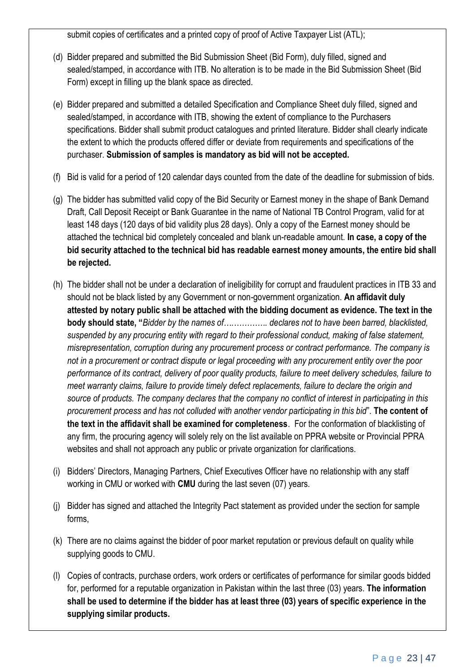submit copies of certificates and a printed copy of proof of Active Taxpayer List (ATL);

- (d) Bidder prepared and submitted the Bid Submission Sheet (Bid Form), duly filled, signed and sealed/stamped, in accordance with ITB. No alteration is to be made in the Bid Submission Sheet (Bid Form) except in filling up the blank space as directed.
- (e) Bidder prepared and submitted a detailed Specification and Compliance Sheet duly filled, signed and sealed/stamped, in accordance with ITB, showing the extent of compliance to the Purchasers specifications. Bidder shall submit product catalogues and printed literature. Bidder shall clearly indicate the extent to which the products offered differ or deviate from requirements and specifications of the purchaser. **Submission of samples is mandatory as bid will not be accepted.**
- (f) Bid is valid for a period of 120 calendar days counted from the date of the deadline for submission of bids.
- (g) The bidder has submitted valid copy of the Bid Security or Earnest money in the shape of Bank Demand Draft, Call Deposit Receipt or Bank Guarantee in the name of National TB Control Program, valid for at least 148 days (120 days of bid validity plus 28 days). Only a copy of the Earnest money should be attached the technical bid completely concealed and blank un-readable amount. **In case, a copy of the bid security attached to the technical bid has readable earnest money amounts, the entire bid shall be rejected.**
- (h) The bidder shall not be under a declaration of ineligibility for corrupt and fraudulent practices in ITB 33 and should not be black listed by any Government or non-government organization. **An affidavit duly attested by notary public shall be attached with the bidding document as evidence. The text in the body should state, "***Bidder by the names of….…………. declares not to have been barred, blacklisted, suspended by any procuring entity with regard to their professional conduct, making of false statement, misrepresentation, corruption during any procurement process or contract performance. The company is not in a procurement or contract dispute or legal proceeding with any procurement entity over the poor performance of its contract, delivery of poor quality products, failure to meet delivery schedules, failure to meet warranty claims, failure to provide timely defect replacements, failure to declare the origin and source of products. The company declares that the company no conflict of interest in participating in this procurement process and has not colluded with another vendor participating in this bid*". **The content of the text in the affidavit shall be examined for completeness**. For the conformation of blacklisting of any firm, the procuring agency will solely rely on the list available on PPRA website or Provincial PPRA websites and shall not approach any public or private organization for clarifications.
- (i) Bidders' Directors, Managing Partners, Chief Executives Officer have no relationship with any staff working in CMU or worked with **CMU** during the last seven (07) years.
- (j) Bidder has signed and attached the Integrity Pact statement as provided under the section for sample forms,
- (k) There are no claims against the bidder of poor market reputation or previous default on quality while supplying goods to CMU.
- (l) Copies of contracts, purchase orders, work orders or certificates of performance for similar goods bidded for, performed for a reputable organization in Pakistan within the last three (03) years. **The information shall be used to determine if the bidder has at least three (03) years of specific experience in the supplying similar products.**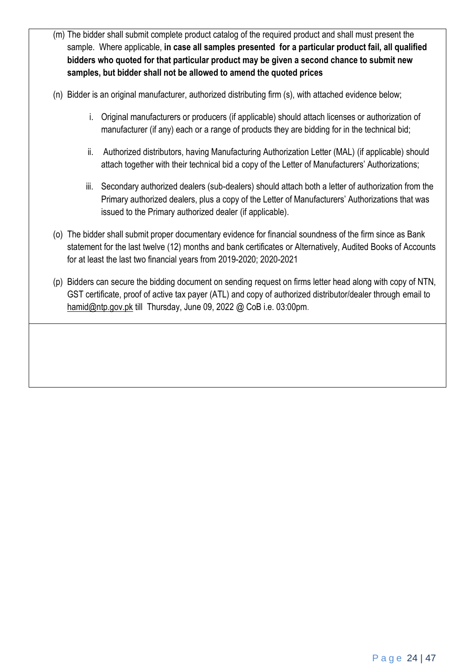- (m) The bidder shall submit complete product catalog of the required product and shall must present the sample. Where applicable, **in case all samples presented for a particular product fail, all qualified bidders who quoted for that particular product may be given a second chance to submit new samples, but bidder shall not be allowed to amend the quoted prices**
- (n) Bidder is an original manufacturer, authorized distributing firm (s), with attached evidence below;
	- i. Original manufacturers or producers (if applicable) should attach licenses or authorization of manufacturer (if any) each or a range of products they are bidding for in the technical bid;
	- ii. Authorized distributors, having Manufacturing Authorization Letter (MAL) (if applicable) should attach together with their technical bid a copy of the Letter of Manufacturers' Authorizations;
	- iii. Secondary authorized dealers (sub-dealers) should attach both a letter of authorization from the Primary authorized dealers, plus a copy of the Letter of Manufacturers' Authorizations that was issued to the Primary authorized dealer (if applicable).
- (o) The bidder shall submit proper documentary evidence for financial soundness of the firm since as Bank statement for the last twelve (12) months and bank certificates or Alternatively, Audited Books of Accounts for at least the last two financial years from 2019-2020; 2020-2021
- (p) Bidders can secure the bidding document on sending request on firms letter head along with copy of NTN, GST certificate, proof of active tax payer (ATL) and copy of authorized distributor/dealer through email to [hamid@ntp.gov.pk](mailto:hamid@ntp.gov.pk) till Thursday, June 09, 2022 @ CoB i.e. 03:00pm.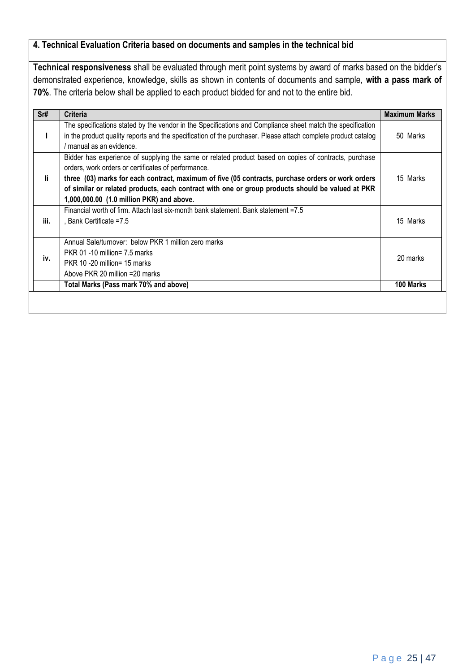#### **4. Technical Evaluation Criteria based on documents and samples in the technical bid**

**Technical responsiveness** shall be evaluated through merit point systems by award of marks based on the bidder's demonstrated experience, knowledge, skills as shown in contents of documents and sample, **with a pass mark of 70%**. The criteria below shall be applied to each product bidded for and not to the entire bid.

| Srft | <b>Criteria</b>                                                                                               | <b>Maximum Marks</b> |
|------|---------------------------------------------------------------------------------------------------------------|----------------------|
|      | The specifications stated by the vendor in the Specifications and Compliance sheet match the specification    |                      |
|      | in the product quality reports and the specification of the purchaser. Please attach complete product catalog | 50 Marks             |
|      | / manual as an evidence.                                                                                      |                      |
|      | Bidder has experience of supplying the same or related product based on copies of contracts, purchase         |                      |
|      | orders, work orders or certificates of performance.                                                           |                      |
| li.  | three (03) marks for each contract, maximum of five (05 contracts, purchase orders or work orders             | 15 Marks             |
|      | of similar or related products, each contract with one or group products should be valued at PKR              |                      |
|      | 1,000,000.00 (1.0 million PKR) and above.                                                                     |                      |
|      | Financial worth of firm. Attach last six-month bank statement. Bank statement =7.5                            |                      |
| iii. | Bank Certificate =7.5                                                                                         | 15 Marks             |
|      | Annual Sale/turnover: below PKR 1 million zero marks                                                          |                      |
|      | PKR 01 -10 million= 7.5 marks                                                                                 |                      |
| iv.  | PKR 10 -20 million = 15 marks                                                                                 | 20 marks             |
|      | Above PKR 20 million =20 marks                                                                                |                      |
|      | Total Marks (Pass mark 70% and above)                                                                         | 100 Marks            |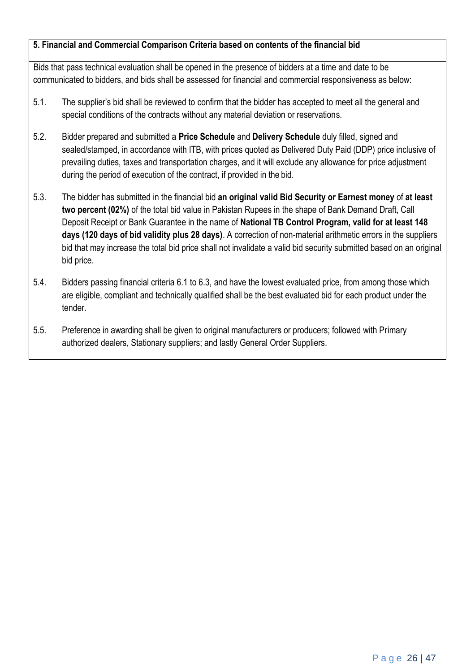#### **5. Financial and Commercial Comparison Criteria based on contents of the financial bid**

Bids that pass technical evaluation shall be opened in the presence of bidders at a time and date to be communicated to bidders, and bids shall be assessed for financial and commercial responsiveness as below:

- 5.1. The supplier's bid shall be reviewed to confirm that the bidder has accepted to meet all the general and special conditions of the contracts without any material deviation or reservations.
- 5.2. Bidder prepared and submitted a **Price Schedule** and **Delivery Schedule** duly filled, signed and sealed/stamped, in accordance with ITB, with prices quoted as Delivered Duty Paid (DDP) price inclusive of prevailing duties, taxes and transportation charges, and it will exclude any allowance for price adjustment during the period of execution of the contract, if provided in the bid.
- 5.3. The bidder has submitted in the financial bid **an original valid Bid Security or Earnest money** of **at least two percent (02%)** of the total bid value in Pakistan Rupees in the shape of Bank Demand Draft, Call Deposit Receipt or Bank Guarantee in the name of **National TB Control Program, valid for at least 148 days (120 days of bid validity plus 28 days)**. A correction of non-material arithmetic errors in the suppliers bid that may increase the total bid price shall not invalidate a valid bid security submitted based on an original bid price.
- 5.4. Bidders passing financial criteria 6.1 to 6.3, and have the lowest evaluated price, from among those which are eligible, compliant and technically qualified shall be the best evaluated bid for each product under the tender.
- 5.5. Preference in awarding shall be given to original manufacturers or producers; followed with Primary authorized dealers, Stationary suppliers; and lastly General Order Suppliers.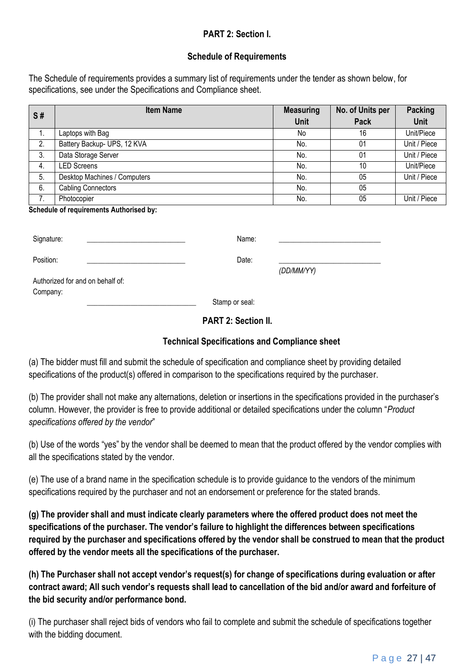#### **PART 2: Section I.**

#### **Schedule of Requirements**

The Schedule of requirements provides a summary list of requirements under the tender as shown below, for specifications, see under the Specifications and Compliance sheet.

| S# | <b>Item Name</b>             | <b>Measuring</b> | No. of Units per | Packing      |
|----|------------------------------|------------------|------------------|--------------|
|    |                              | <b>Unit</b>      | Pack             | Unit         |
| 1. | Laptops with Bag             | No               | 16               | Unit/Piece   |
| 2. | Battery Backup- UPS, 12 KVA  | No.              | 01               | Unit / Piece |
| 3. | Data Storage Server          | No.              | 01               | Unit / Piece |
| 4. | <b>LED Screens</b>           | No.              | 10               | Unit/Piece   |
| 5. | Desktop Machines / Computers | No.              | 05               | Unit / Piece |
| 6. | <b>Cabling Connectors</b>    | No.              | 05               |              |
|    | Photocopier                  | No.              | 05               | Unit / Piece |

**Schedule of requirements Authorised by:**

| Signature:                                   | Name:          |            |
|----------------------------------------------|----------------|------------|
| Position:                                    | Date:          | (DD/MM/YY) |
| Authorized for and on behalf of:<br>Company: |                |            |
|                                              | Stamp or seal: |            |

#### **PART 2: Section II.**

#### **Technical Specifications and Compliance sheet**

(a) The bidder must fill and submit the schedule of specification and compliance sheet by providing detailed specifications of the product(s) offered in comparison to the specifications required by the purchaser.

(b) The provider shall not make any alternations, deletion or insertions in the specifications provided in the purchaser's column. However, the provider is free to provide additional or detailed specifications under the column "*Product specifications offered by the vendor*"

(b) Use of the words "yes" by the vendor shall be deemed to mean that the product offered by the vendor complies with all the specifications stated by the vendor.

(e) The use of a brand name in the specification schedule is to provide guidance to the vendors of the minimum specifications required by the purchaser and not an endorsement or preference for the stated brands.

**(g) The provider shall and must indicate clearly parameters where the offered product does not meet the specifications of the purchaser. The vendor's failure to highlight the differences between specifications required by the purchaser and specifications offered by the vendor shall be construed to mean that the product offered by the vendor meets all the specifications of the purchaser.** 

**(h) The Purchaser shall not accept vendor's request(s) for change of specifications during evaluation or after contract award; All such vendor's requests shall lead to cancellation of the bid and/or award and forfeiture of the bid security and/or performance bond.** 

(i) The purchaser shall reject bids of vendors who fail to complete and submit the schedule of specifications together with the bidding document.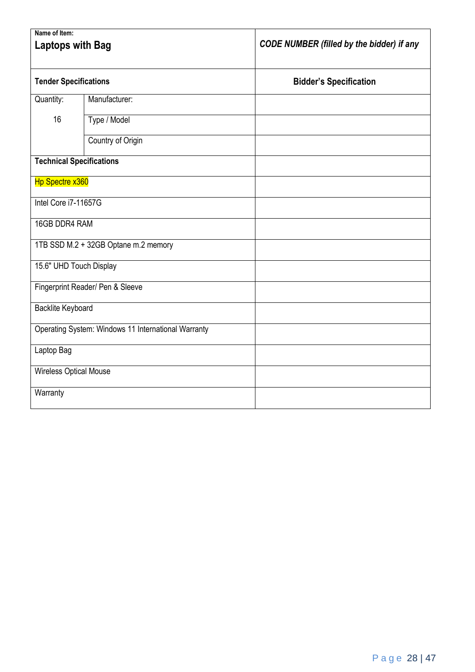| Name of Item:<br><b>Laptops with Bag</b> |                                                     | <b>CODE NUMBER (filled by the bidder) if any</b> |  |  |  |
|------------------------------------------|-----------------------------------------------------|--------------------------------------------------|--|--|--|
| <b>Tender Specifications</b>             |                                                     | <b>Bidder's Specification</b>                    |  |  |  |
| Quantity:                                | Manufacturer:                                       |                                                  |  |  |  |
| 16                                       | Type / Model                                        |                                                  |  |  |  |
|                                          | Country of Origin                                   |                                                  |  |  |  |
| <b>Technical Specifications</b>          |                                                     |                                                  |  |  |  |
| Hp Spectre x360                          |                                                     |                                                  |  |  |  |
| Intel Core i7-11657G                     |                                                     |                                                  |  |  |  |
| 16GB DDR4 RAM                            |                                                     |                                                  |  |  |  |
|                                          | 1TB SSD M.2 + 32GB Optane m.2 memory                |                                                  |  |  |  |
| 15.6" UHD Touch Display                  |                                                     |                                                  |  |  |  |
|                                          | Fingerprint Reader/ Pen & Sleeve                    |                                                  |  |  |  |
| <b>Backlite Keyboard</b>                 |                                                     |                                                  |  |  |  |
|                                          | Operating System: Windows 11 International Warranty |                                                  |  |  |  |
| Laptop Bag                               |                                                     |                                                  |  |  |  |
| <b>Wireless Optical Mouse</b>            |                                                     |                                                  |  |  |  |
| Warranty                                 |                                                     |                                                  |  |  |  |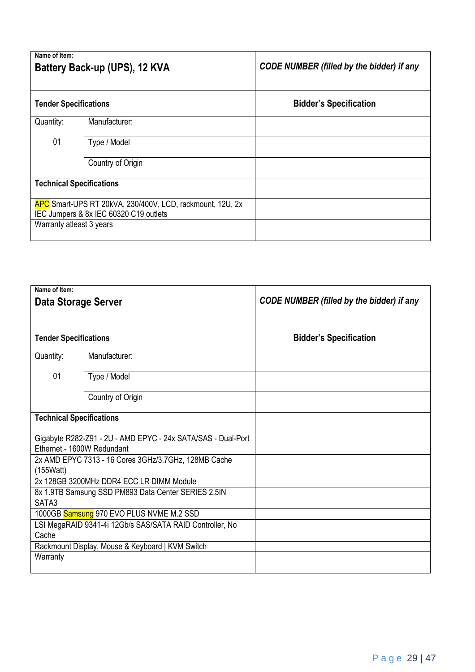| Name of Item:                   | Battery Back-up (UPS), 12 KVA                             | <b>CODE NUMBER (filled by the bidder) if any</b> |  |  |  |
|---------------------------------|-----------------------------------------------------------|--------------------------------------------------|--|--|--|
| <b>Tender Specifications</b>    |                                                           | <b>Bidder's Specification</b>                    |  |  |  |
| Quantity:                       | Manufacturer:                                             |                                                  |  |  |  |
| 01                              | Type / Model                                              |                                                  |  |  |  |
|                                 | Country of Origin                                         |                                                  |  |  |  |
| <b>Technical Specifications</b> |                                                           |                                                  |  |  |  |
|                                 | APC Smart-UPS RT 20kVA, 230/400V, LCD, rackmount, 12U, 2x |                                                  |  |  |  |
|                                 | IEC Jumpers & 8x IEC 60320 C19 outlets                    |                                                  |  |  |  |
| Warranty atleast 3 years        |                                                           |                                                  |  |  |  |

| Name of Item:                   |                                                              |                                                  |
|---------------------------------|--------------------------------------------------------------|--------------------------------------------------|
| Data Storage Server             |                                                              | <b>CODE NUMBER (filled by the bidder) if any</b> |
|                                 |                                                              |                                                  |
| <b>Tender Specifications</b>    |                                                              | <b>Bidder's Specification</b>                    |
| Quantity:                       | Manufacturer:                                                |                                                  |
| 01                              | Type / Model                                                 |                                                  |
|                                 | Country of Origin                                            |                                                  |
| <b>Technical Specifications</b> |                                                              |                                                  |
|                                 | Gigabyte R282-Z91 - 2U - AMD EPYC - 24x SATA/SAS - Dual-Port |                                                  |
| Ethernet - 1600W Redundant      |                                                              |                                                  |
| (155Watt)                       | 2x AMD EPYC 7313 - 16 Cores 3GHz/3.7GHz, 128MB Cache         |                                                  |
|                                 | 2x 128GB 3200MHz DDR4 ECC LR DIMM Module                     |                                                  |
| SATA3                           | 8x 1.9TB Samsung SSD PM893 Data Center SERIES 2.5IN          |                                                  |
|                                 | 1000GB Samsung 970 EVO PLUS NVME M.2 SSD                     |                                                  |
|                                 | LSI MegaRAID 9341-4i 12Gb/s SAS/SATA RAID Controller, No     |                                                  |
| Cache                           |                                                              |                                                  |
|                                 | Rackmount Display, Mouse & Keyboard   KVM Switch             |                                                  |
| Warranty                        |                                                              |                                                  |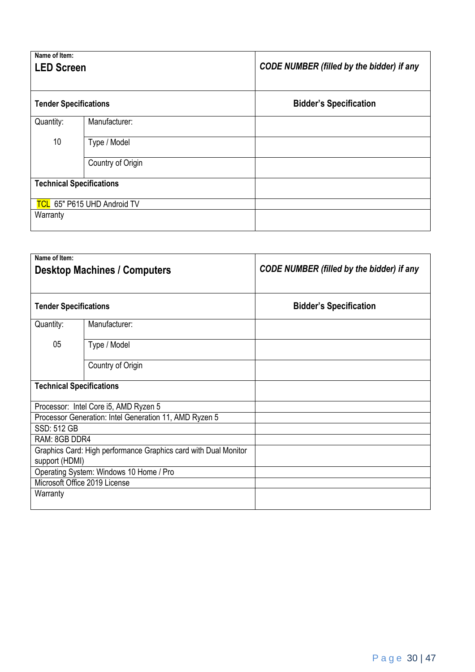| Name of Item:<br><b>LED Screen</b> |                             | <b>CODE NUMBER (filled by the bidder) if any</b> |
|------------------------------------|-----------------------------|--------------------------------------------------|
| <b>Tender Specifications</b>       |                             | <b>Bidder's Specification</b>                    |
| Quantity:                          | Manufacturer:               |                                                  |
| 10                                 | Type / Model                |                                                  |
|                                    | Country of Origin           |                                                  |
| <b>Technical Specifications</b>    |                             |                                                  |
|                                    | TCL 65" P615 UHD Android TV |                                                  |
| Warranty                           |                             |                                                  |

| Name of Item:                   |                                                                 |                                                  |  |  |
|---------------------------------|-----------------------------------------------------------------|--------------------------------------------------|--|--|
|                                 | <b>Desktop Machines / Computers</b>                             | <b>CODE NUMBER (filled by the bidder) if any</b> |  |  |
|                                 |                                                                 |                                                  |  |  |
| <b>Tender Specifications</b>    |                                                                 | <b>Bidder's Specification</b>                    |  |  |
| Quantity:                       | Manufacturer:                                                   |                                                  |  |  |
| 05                              | Type / Model                                                    |                                                  |  |  |
|                                 | Country of Origin                                               |                                                  |  |  |
| <b>Technical Specifications</b> |                                                                 |                                                  |  |  |
|                                 | Processor: Intel Core i5, AMD Ryzen 5                           |                                                  |  |  |
|                                 | Processor Generation: Intel Generation 11, AMD Ryzen 5          |                                                  |  |  |
| <b>SSD: 512 GB</b>              |                                                                 |                                                  |  |  |
| RAM: 8GB DDR4                   |                                                                 |                                                  |  |  |
| support (HDMI)                  | Graphics Card: High performance Graphics card with Dual Monitor |                                                  |  |  |
|                                 | Operating System: Windows 10 Home / Pro                         |                                                  |  |  |
| Microsoft Office 2019 License   |                                                                 |                                                  |  |  |
| Warranty                        |                                                                 |                                                  |  |  |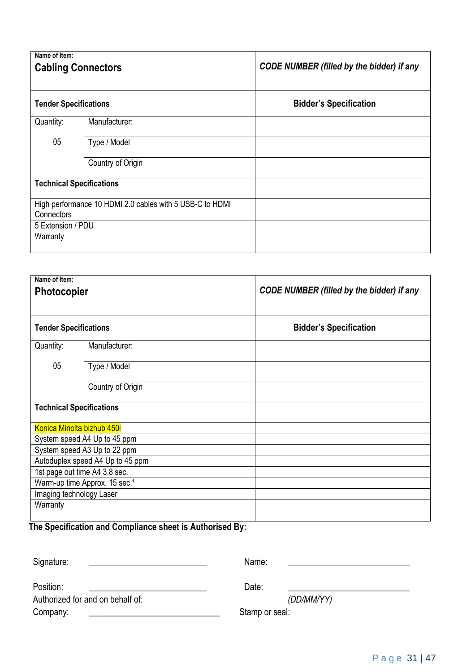| Name of Item:<br><b>Cabling Connectors</b> |                                                          | <b>CODE NUMBER (filled by the bidder) if any</b> |  |  |  |
|--------------------------------------------|----------------------------------------------------------|--------------------------------------------------|--|--|--|
| <b>Tender Specifications</b>               |                                                          | <b>Bidder's Specification</b>                    |  |  |  |
| Quantity:                                  | Manufacturer:                                            |                                                  |  |  |  |
| 05                                         | Type / Model                                             |                                                  |  |  |  |
|                                            | Country of Origin                                        |                                                  |  |  |  |
| <b>Technical Specifications</b>            |                                                          |                                                  |  |  |  |
|                                            | High performance 10 HDMI 2.0 cables with 5 USB-C to HDMI |                                                  |  |  |  |
| Connectors                                 |                                                          |                                                  |  |  |  |
| 5 Extension / PDU                          |                                                          |                                                  |  |  |  |
| Warranty                                   |                                                          |                                                  |  |  |  |

| Name of Item:                             |                                  |                                                  |
|-------------------------------------------|----------------------------------|--------------------------------------------------|
| <b>Photocopier</b>                        |                                  | <b>CODE NUMBER (filled by the bidder) if any</b> |
|                                           |                                  |                                                  |
| <b>Tender Specifications</b>              |                                  | <b>Bidder's Specification</b>                    |
| Quantity:                                 | Manufacturer:                    |                                                  |
| 05                                        | Type / Model                     |                                                  |
|                                           | Country of Origin                |                                                  |
| <b>Technical Specifications</b>           |                                  |                                                  |
| Konica Minolta bizhub 450i                |                                  |                                                  |
|                                           | System speed A4 Up to 45 ppm     |                                                  |
|                                           | System speed A3 Up to 22 ppm     |                                                  |
|                                           | Autoduplex speed A4 Up to 45 ppm |                                                  |
|                                           | 1st page out time A4 3.8 sec.    |                                                  |
| Warm-up time Approx. 15 sec. <sup>1</sup> |                                  |                                                  |
| Imaging technology Laser                  |                                  |                                                  |
| Warranty                                  |                                  |                                                  |
|                                           |                                  |                                                  |

**The Specification and Compliance sheet is Authorised By:**

| Signature:                       | Name:          |
|----------------------------------|----------------|
| Position:                        | Date:          |
| Authorized for and on behalf of: | (DD/MM/YY)     |
| Company:                         | Stamp or seal: |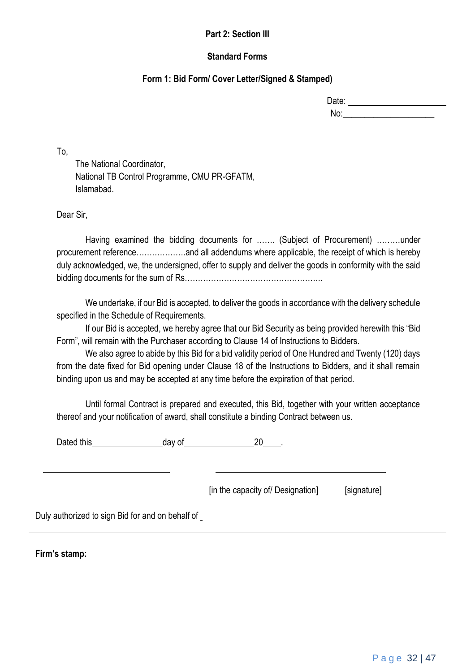#### **Part 2: Section III**

#### **Standard Forms**

#### **Form 1: Bid Form/ Cover Letter/Signed & Stamped)**

| Date: |  |
|-------|--|
| No:   |  |

To,

The National Coordinator, National TB Control Programme, CMU PR-GFATM, Islamabad.

Dear Sir,

Having examined the bidding documents for ……. (Subject of Procurement) ………under procurement reference……………….and all addendums where applicable, the receipt of which is hereby duly acknowledged, we, the undersigned, offer to supply and deliver the goods in conformity with the said bidding documents for the sum of Rs……………………………………………..

We undertake, if our Bid is accepted, to deliver the goods in accordance with the delivery schedule specified in the Schedule of Requirements.

If our Bid is accepted, we hereby agree that our Bid Security as being provided herewith this "Bid Form", will remain with the Purchaser according to Clause 14 of Instructions to Bidders.

We also agree to abide by this Bid for a bid validity period of One Hundred and Twenty (120) days from the date fixed for Bid opening under Clause 18 of the Instructions to Bidders, and it shall remain binding upon us and may be accepted at any time before the expiration of that period.

Until formal Contract is prepared and executed, this Bid, together with your written acceptance thereof and your notification of award, shall constitute a binding Contract between us.

Dated this day of 20 .

[in the capacity of/ Designation] [signature]

Duly authorized to sign Bid for and on behalf of

**Firm's stamp:**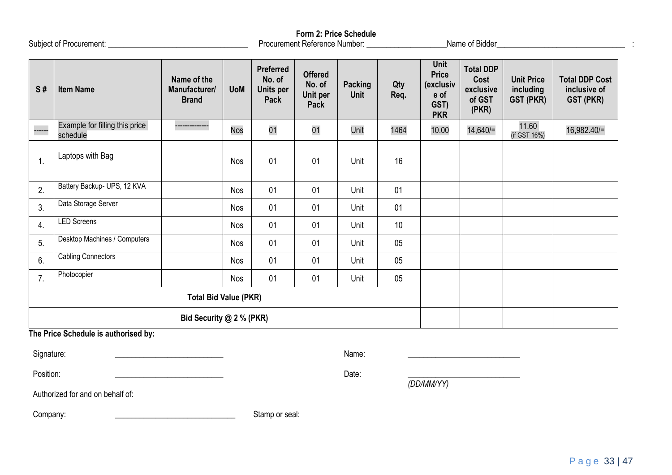| S#               | <b>Item Name</b>                           | Name of the<br>Manufacturer/<br><b>Brand</b> | <b>UoM</b> | Preferred<br>No. of<br>Units per<br>Pack | <b>Offered</b><br>No. of<br>Unit per<br>Pack | Packing<br>Unit | Qty<br>Req. | Unit<br><b>Price</b><br>(exclusiv<br>e of<br>GST)<br><b>PKR</b> | <b>Total DDP</b><br>Cost<br>exclusive<br>of GST<br>(PKR) | <b>Unit Price</b><br>including<br><b>GST (PKR)</b> | <b>Total DDP Cost</b><br>inclusive of<br><b>GST (PKR)</b> |
|------------------|--------------------------------------------|----------------------------------------------|------------|------------------------------------------|----------------------------------------------|-----------------|-------------|-----------------------------------------------------------------|----------------------------------------------------------|----------------------------------------------------|-----------------------------------------------------------|
| ------           | Example for filling this price<br>schedule |                                              | <b>Nos</b> | 01                                       | 01                                           | Unit            | 1464        | 10.00                                                           | 14,640/                                                  | 11.60<br>(if GST 16%)                              | 16,982.40/=                                               |
| 1.               | Laptops with Bag                           |                                              | <b>Nos</b> | 01                                       | 01                                           | Unit            | 16          |                                                                 |                                                          |                                                    |                                                           |
| 2.               | Battery Backup- UPS, 12 KVA                |                                              | <b>Nos</b> | 01                                       | 01                                           | Unit            | 01          |                                                                 |                                                          |                                                    |                                                           |
| 3.               | Data Storage Server                        |                                              | <b>Nos</b> | 01                                       | 01                                           | Unit            | 01          |                                                                 |                                                          |                                                    |                                                           |
| $\overline{4}$ . | <b>LED Screens</b>                         |                                              | Nos        | 01                                       | 01                                           | Unit            | 10          |                                                                 |                                                          |                                                    |                                                           |
| 5.               | Desktop Machines / Computers               |                                              | Nos        | 01                                       | 01                                           | Unit            | 05          |                                                                 |                                                          |                                                    |                                                           |
| 6.               | <b>Cabling Connectors</b>                  |                                              | Nos        | 01                                       | 01                                           | Unit            | 05          |                                                                 |                                                          |                                                    |                                                           |
| 7.               | Photocopier                                |                                              | <b>Nos</b> | 01                                       | 01                                           | Unit            | 05          |                                                                 |                                                          |                                                    |                                                           |
|                  |                                            | <b>Total Bid Value (PKR)</b>                 |            |                                          |                                              |                 |             |                                                                 |                                                          |                                                    |                                                           |
|                  |                                            | Bid Security @ 2 % (PKR)                     |            |                                          |                                              |                 |             |                                                                 |                                                          |                                                    |                                                           |
|                  | The Price Schedule is authorised by:       |                                              |            |                                          |                                              |                 |             |                                                                 |                                                          |                                                    |                                                           |

**Form 2: Price Schedule** Subject of Procurement: <br>
Subject of Procurement: <br>  $\blacksquare$ 

Signature: \_\_\_\_\_\_\_\_\_\_\_\_\_\_\_\_\_\_\_\_\_\_\_\_\_\_\_ Name: \_\_\_\_\_\_\_\_\_\_\_\_\_\_\_\_\_\_\_\_\_\_\_\_\_\_\_\_

Position: \_\_\_\_\_\_\_\_\_\_\_\_\_\_\_\_\_\_\_\_\_\_\_\_\_\_\_ Date: \_\_\_\_\_\_\_\_\_\_\_\_\_\_\_\_\_\_\_\_\_\_\_\_\_\_\_\_

*(DD/MM/YY)*

Authorized for and on behalf of:

Company: and the company: and the company:  $\overline{\phantom{a}}$  Stamp or seal: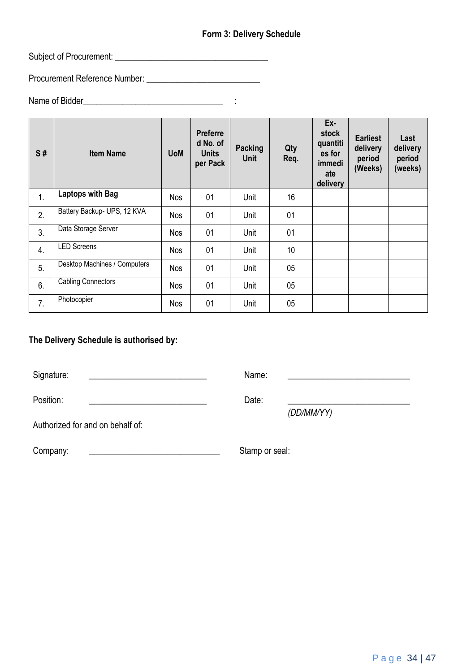#### **Form 3: Delivery Schedule**

Subject of Procurement: \_\_\_\_\_\_\_\_\_\_\_\_\_\_\_\_\_\_\_\_\_\_\_\_\_\_\_\_\_\_\_\_\_\_\_

Procurement Reference Number: \_\_\_\_\_\_\_\_\_\_\_\_\_\_\_\_\_\_\_\_\_\_\_\_\_\_

Name of Bidder\_\_\_\_\_\_\_\_\_\_\_\_\_\_\_\_\_\_\_\_\_\_\_\_\_\_\_\_\_\_\_\_ :

| S# | <b>Item Name</b>             | <b>UoM</b> | <b>Preferre</b><br>d No. of<br><b>Units</b><br>per Pack | Packing<br><b>Unit</b> | Qty<br>Req.     | Ex-<br>stock<br>quantiti<br>es for<br>immedi<br>ate<br>delivery | <b>Earliest</b><br>delivery<br>period<br>(Weeks) | Last<br>delivery<br>period<br>(weeks) |
|----|------------------------------|------------|---------------------------------------------------------|------------------------|-----------------|-----------------------------------------------------------------|--------------------------------------------------|---------------------------------------|
| 1. | Laptops with Bag             | <b>Nos</b> | 01                                                      | Unit                   | 16              |                                                                 |                                                  |                                       |
| 2. | Battery Backup- UPS, 12 KVA  | <b>Nos</b> | 01                                                      | Unit                   | 01              |                                                                 |                                                  |                                       |
| 3. | Data Storage Server          | <b>Nos</b> | 01                                                      | Unit                   | 01              |                                                                 |                                                  |                                       |
| 4. | <b>LED Screens</b>           | <b>Nos</b> | 01                                                      | Unit                   | 10 <sup>1</sup> |                                                                 |                                                  |                                       |
| 5. | Desktop Machines / Computers | <b>Nos</b> | 01                                                      | Unit                   | 05              |                                                                 |                                                  |                                       |
| 6. | <b>Cabling Connectors</b>    | <b>Nos</b> | 01                                                      | Unit                   | 05              |                                                                 |                                                  |                                       |
| 7. | Photocopier                  | <b>Nos</b> | 01                                                      | Unit                   | 05              |                                                                 |                                                  |                                       |

#### **The Delivery Schedule is authorised by:**

| Signature: | Name: |  |
|------------|-------|--|
|            |       |  |

Position: \_\_\_\_\_\_\_\_\_\_\_\_\_\_\_\_\_\_\_\_\_\_\_\_\_\_\_ Date: \_\_\_\_\_\_\_\_\_\_\_\_\_\_\_\_\_\_\_\_\_\_\_\_\_\_\_\_

*(DD/MM/YY)*

Authorized for and on behalf of:

Company: \_\_\_\_\_\_\_\_\_\_\_\_\_\_\_\_\_\_\_\_\_\_\_\_\_\_\_\_\_\_ Stamp or seal: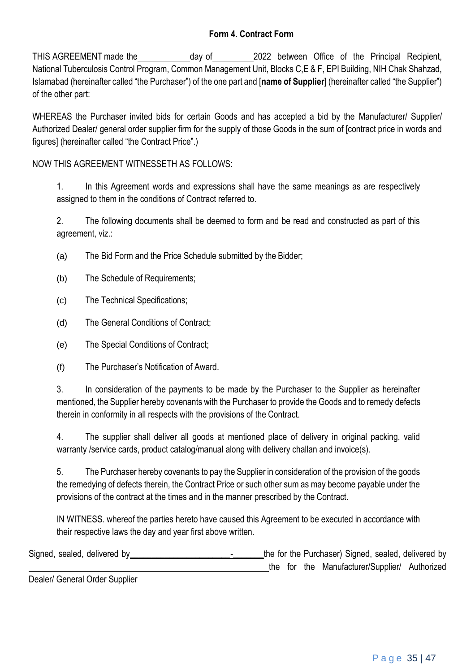#### **Form 4. Contract Form**

THIS AGREEMENT made the day of 2022 between Office of the Principal Recipient, National Tuberculosis Control Program, Common Management Unit, Blocks C,E & F, EPI Building, NIH Chak Shahzad, Islamabad (hereinafter called "the Purchaser") of the one part and [**name of Supplier**] (hereinafter called "the Supplier") of the other part:

WHEREAS the Purchaser invited bids for certain Goods and has accepted a bid by the Manufacturer/ Supplier/ Authorized Dealer/ general order supplier firm for the supply of those Goods in the sum of [contract price in words and figures] (hereinafter called "the Contract Price".)

NOW THIS AGREEMENT WITNESSETH AS FOLLOWS:

1. In this Agreement words and expressions shall have the same meanings as are respectively assigned to them in the conditions of Contract referred to.

2. The following documents shall be deemed to form and be read and constructed as part of this agreement, viz.:

(a) The Bid Form and the Price Schedule submitted by the Bidder;

(b) The Schedule of Requirements;

(c) The Technical Specifications;

(d) The General Conditions of Contract;

(e) The Special Conditions of Contract;

(f) The Purchaser's Notification of Award.

3. In consideration of the payments to be made by the Purchaser to the Supplier as hereinafter mentioned, the Supplier hereby covenants with the Purchaser to provide the Goods and to remedy defects therein in conformity in all respects with the provisions of the Contract.

4. The supplier shall deliver all goods at mentioned place of delivery in original packing, valid warranty /service cards, product catalog/manual along with delivery challan and invoice(s).

5. The Purchaser hereby covenants to pay the Supplier in consideration of the provision of the goods the remedying of defects therein, the Contract Price or such other sum as may become payable under the provisions of the contract at the times and in the manner prescribed by the Contract.

IN WITNESS. whereof the parties hereto have caused this Agreement to be executed in accordance with their respective laws the day and year first above written.

Signed, sealed, delivered by example and the form the Purchaser) Signed, sealed, delivered by the for the Manufacturer/Supplier/ Authorized

Dealer/ General Order Supplier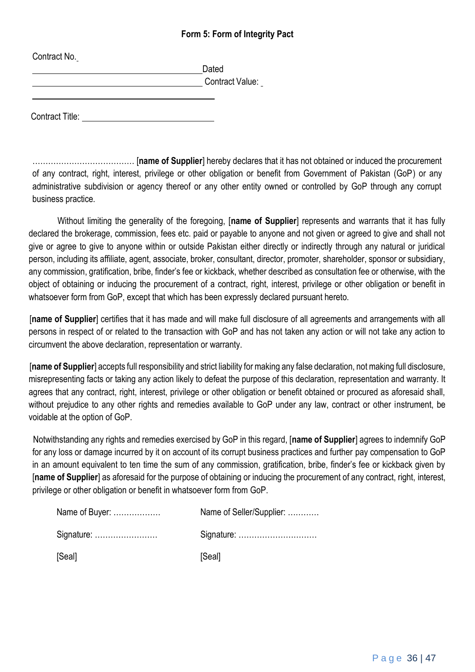#### **Form 5: Form of Integrity Pact**

| CONTRACT NO.           | Dated           |
|------------------------|-----------------|
|                        | Contract Value: |
| <b>Contract Title:</b> |                 |

Contract No.

………………………………… [**name of Supplier**] hereby declares that it has not obtained or induced the procurement of any contract, right, interest, privilege or other obligation or benefit from Government of Pakistan (GoP) or any administrative subdivision or agency thereof or any other entity owned or controlled by GoP through any corrupt business practice.

Without limiting the generality of the foregoing, [**name of Supplier**] represents and warrants that it has fully declared the brokerage, commission, fees etc. paid or payable to anyone and not given or agreed to give and shall not give or agree to give to anyone within or outside Pakistan either directly or indirectly through any natural or juridical person, including its affiliate, agent, associate, broker, consultant, director, promoter, shareholder, sponsor or subsidiary, any commission, gratification, bribe, finder's fee or kickback, whether described as consultation fee or otherwise, with the object of obtaining or inducing the procurement of a contract, right, interest, privilege or other obligation or benefit in whatsoever form from GoP, except that which has been expressly declared pursuant hereto.

[**name of Supplier**] certifies that it has made and will make full disclosure of all agreements and arrangements with all persons in respect of or related to the transaction with GoP and has not taken any action or will not take any action to circumvent the above declaration, representation or warranty.

[**name of Supplier**] accepts full responsibility and strict liability for making any false declaration, not making full disclosure, misrepresenting facts or taking any action likely to defeat the purpose of this declaration, representation and warranty. It agrees that any contract, right, interest, privilege or other obligation or benefit obtained or procured as aforesaid shall, without prejudice to any other rights and remedies available to GoP under any law, contract or other instrument, be voidable at the option of GoP.

Notwithstanding any rights and remedies exercised by GoP in this regard, [**name of Supplier**] agrees to indemnify GoP for any loss or damage incurred by it on account of its corrupt business practices and further pay compensation to GoP in an amount equivalent to ten time the sum of any commission, gratification, bribe, finder's fee or kickback given by [**name of Supplier**] as aforesaid for the purpose of obtaining or inducing the procurement of any contract, right, interest, privilege or other obligation or benefit in whatsoever form from GoP.

| Name of Buyer: | Name of Seller/Supplier: |
|----------------|--------------------------|
| Signature:     |                          |
| [Seal]         | [Seal]                   |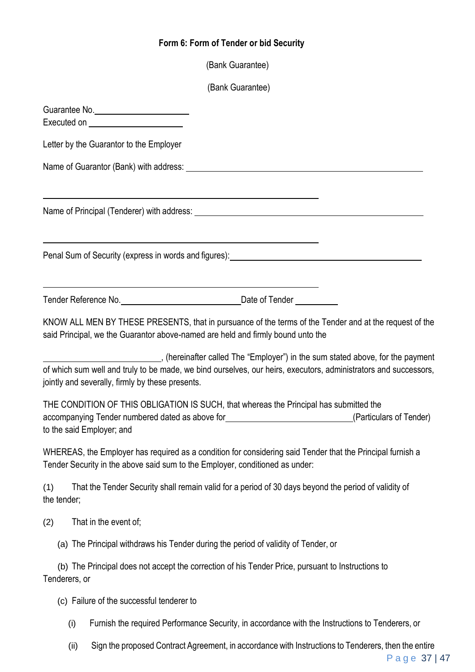# **Form 6: Form of Tender or bid Security**

(Bank Guarantee)

(Bank Guarantee)

| Guarantee No.                                                                                                                                                                                                                                       |
|-----------------------------------------------------------------------------------------------------------------------------------------------------------------------------------------------------------------------------------------------------|
| Letter by the Guarantor to the Employer                                                                                                                                                                                                             |
|                                                                                                                                                                                                                                                     |
| <u> 1980 - Johann Barbara, martxa amerikan personal (h. 1980).</u>                                                                                                                                                                                  |
| <u> 1980 - Andrea Station Andrea Station (m. 1980)</u><br>Penal Sum of Security (express in words and figures): North American American Community Penal Sum of Security                                                                             |
|                                                                                                                                                                                                                                                     |
| KNOW ALL MEN BY THESE PRESENTS, that in pursuance of the terms of the Tender and at the request of the<br>said Principal, we the Guarantor above-named are held and firmly bound unto the                                                           |
| (hereinafter called The "Employer") in the sum stated above, for the payment<br>of which sum well and truly to be made, we bind ourselves, our heirs, executors, administrators and successors,<br>jointly and severally, firmly by these presents. |
| THE CONDITION OF THIS OBLIGATION IS SUCH, that whereas the Principal has submitted the<br>accompanying Tender numbered dated as above for<br><u>Carticulars of Tender</u><br>to the said Employer; and                                              |
| WHEREAS, the Employer has required as a condition for considering said Tender that the Principal furnish a<br>Tender Security in the above said sum to the Employer, conditioned as under:                                                          |
| That the Tender Security shall remain valid for a period of 30 days beyond the period of validity of<br>(1)<br>the tender;                                                                                                                          |
| That in the event of;<br>(2)                                                                                                                                                                                                                        |
| (a) The Principal withdraws his Tender during the period of validity of Tender, or                                                                                                                                                                  |
| (b) The Principal does not accept the correction of his Tender Price, pursuant to Instructions to<br>Tenderers, or                                                                                                                                  |
| (c) Failure of the successful tenderer to                                                                                                                                                                                                           |
| Furnish the required Performance Security, in accordance with the Instructions to Tenderers, or<br>(i)                                                                                                                                              |

- 
- (ii) Sign the proposed Contract Agreement, in accordance with Instructions to Tenderers, then the entire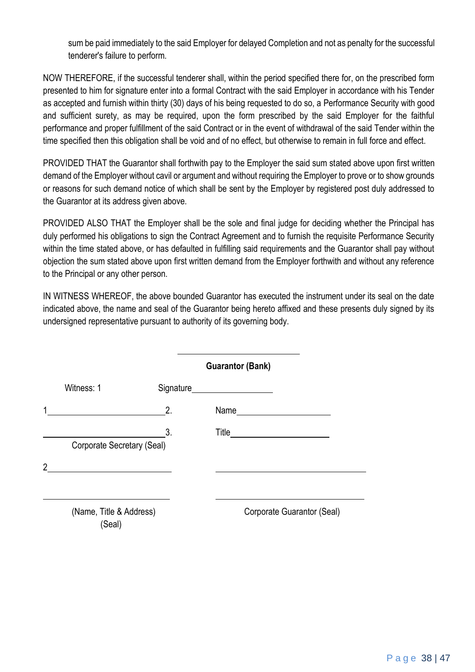sum be paid immediately to the said Employer for delayed Completion and not as penalty for the successful tenderer's failure to perform.

NOW THEREFORE, if the successful tenderer shall, within the period specified there for, on the prescribed form presented to him for signature enter into a formal Contract with the said Employer in accordance with his Tender as accepted and furnish within thirty (30) days of his being requested to do so, a Performance Security with good and sufficient surety, as may be required, upon the form prescribed by the said Employer for the faithful performance and proper fulfillment of the said Contract or in the event of withdrawal of the said Tender within the time specified then this obligation shall be void and of no effect, but otherwise to remain in full force and effect.

PROVIDED THAT the Guarantor shall forthwith pay to the Employer the said sum stated above upon first written demand of the Employer without cavil or argument and without requiring the Employer to prove or to show grounds or reasons for such demand notice of which shall be sent by the Employer by registered post duly addressed to the Guarantor at its address given above.

PROVIDED ALSO THAT the Employer shall be the sole and final judge for deciding whether the Principal has duly performed his obligations to sign the Contract Agreement and to furnish the requisite Performance Security within the time stated above, or has defaulted in fulfilling said requirements and the Guarantor shall pay without objection the sum stated above upon first written demand from the Employer forthwith and without any reference to the Principal or any other person.

IN WITNESS WHEREOF, the above bounded Guarantor has executed the instrument under its seal on the date indicated above, the name and seal of the Guarantor being hereto affixed and these presents duly signed by its undersigned representative pursuant to authority of its governing body.

|                |                                   |    | <b>Guarantor (Bank)</b>           |  |
|----------------|-----------------------------------|----|-----------------------------------|--|
|                | Witness: 1                        |    | Signature________________________ |  |
| 1              |                                   | 2. | Name                              |  |
|                | Corporate Secretary (Seal)        | 3. |                                   |  |
| $\mathfrak{D}$ |                                   |    |                                   |  |
|                | (Name, Title & Address)<br>(Seal) |    | Corporate Guarantor (Seal)        |  |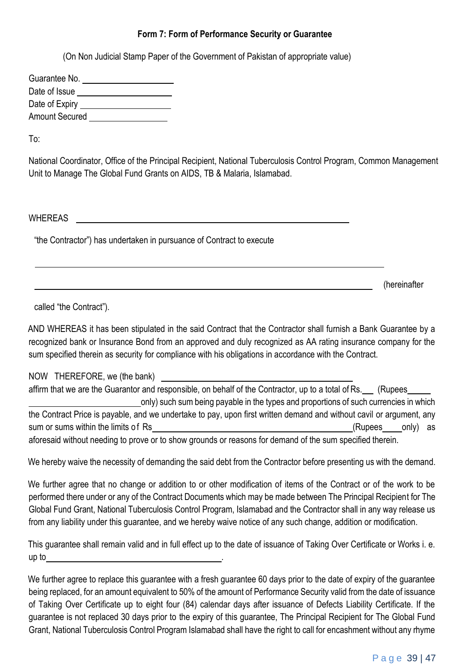#### **Form 7: Form of Performance Security or Guarantee**

(On Non Judicial Stamp Paper of the Government of Pakistan of appropriate value)

| Guarantee No.         |  |
|-----------------------|--|
| Date of Issue         |  |
| Date of Expiry        |  |
| <b>Amount Secured</b> |  |

To:

National Coordinator, Office of the Principal Recipient, National Tuberculosis Control Program, Common Management Unit to Manage The Global Fund Grants on AIDS, TB & Malaria, Islamabad.

WHEREAS

"the Contractor") has undertaken in pursuance of Contract to execute

(hereinafter

called "the Contract").

AND WHEREAS it has been stipulated in the said Contract that the Contractor shall furnish a Bank Guarantee by a recognized bank or Insurance Bond from an approved and duly recognized as AA rating insurance company for the sum specified therein as security for compliance with his obligations in accordance with the Contract.

#### NOW THEREFORE, we (the bank)

affirm that we are the Guarantor and responsible, on behalf of the Contractor, up to a total of Rs. (Rupees only) such sum being payable in the types and proportions of such currencies in which the Contract Price is payable, and we undertake to pay, upon first written demand and without cavil or argument, any sum or sums within the limits of Rs (Rupees only) as aforesaid without needing to prove or to show grounds or reasons for demand of the sum specified therein.

We hereby waive the necessity of demanding the said debt from the Contractor before presenting us with the demand.

We further agree that no change or addition to or other modification of items of the Contract or of the work to be performed there under or any of the Contract Documents which may be made between The Principal Recipient for The Global Fund Grant, National Tuberculosis Control Program, Islamabad and the Contractor shall in any way release us from any liability under this guarantee, and we hereby waive notice of any such change, addition or modification.

This guarantee shall remain valid and in full effect up to the date of issuance of Taking Over Certificate or Works i. e. up to .

We further agree to replace this guarantee with a fresh guarantee 60 days prior to the date of expiry of the guarantee being replaced, for an amount equivalent to 50% of the amount of Performance Security valid from the date of issuance of Taking Over Certificate up to eight four (84) calendar days after issuance of Defects Liability Certificate. If the guarantee is not replaced 30 days prior to the expiry of this guarantee, The Principal Recipient for The Global Fund Grant, National Tuberculosis Control Program Islamabad shall have the right to call for encashment without any rhyme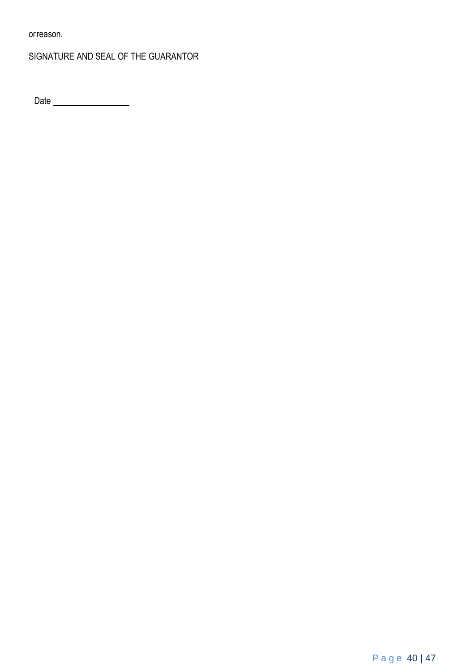orreason.

## SIGNATURE AND SEAL OF THE GUARANTOR

Date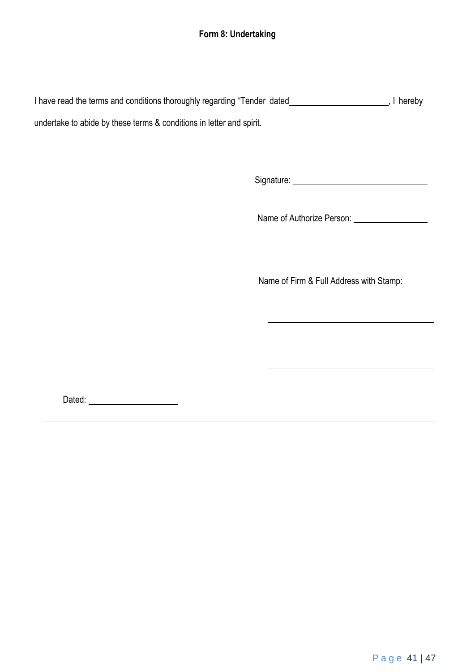#### **Form 8: Undertaking**

| I have read the terms and conditions thoroughly regarding "Tender dated | , I hereby |
|-------------------------------------------------------------------------|------------|
| undertake to abide by these terms & conditions in letter and spirit.    |            |

Signature:

Name of Authorize Person:

Name of Firm & Full Address with Stamp:

Dated: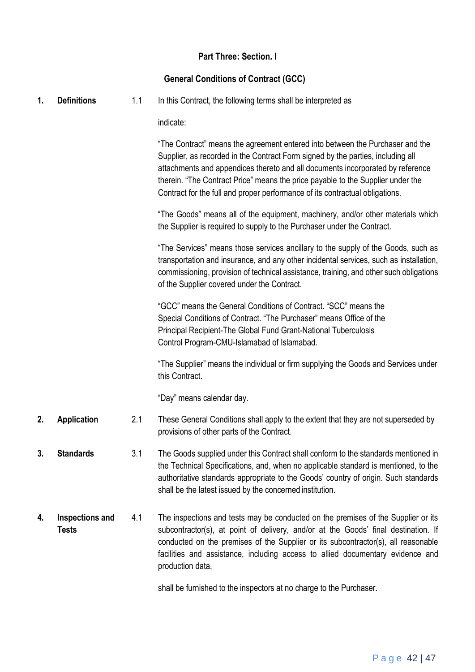#### **Part Three: Section. I**

# **General Conditions of Contract (GCC)**

| 1. | <b>Definitions</b>              | 1.1 | In this Contract, the following terms shall be interpreted as                                                                                                                                                                                                                                                                                                                                                         |
|----|---------------------------------|-----|-----------------------------------------------------------------------------------------------------------------------------------------------------------------------------------------------------------------------------------------------------------------------------------------------------------------------------------------------------------------------------------------------------------------------|
|    |                                 |     | indicate:                                                                                                                                                                                                                                                                                                                                                                                                             |
|    |                                 |     | "The Contract" means the agreement entered into between the Purchaser and the<br>Supplier, as recorded in the Contract Form signed by the parties, including all<br>attachments and appendices thereto and all documents incorporated by reference<br>therein. "The Contract Price" means the price payable to the Supplier under the<br>Contract for the full and proper performance of its contractual obligations. |
|    |                                 |     | "The Goods" means all of the equipment, machinery, and/or other materials which<br>the Supplier is required to supply to the Purchaser under the Contract.                                                                                                                                                                                                                                                            |
|    |                                 |     | "The Services" means those services ancillary to the supply of the Goods, such as<br>transportation and insurance, and any other incidental services, such as installation,<br>commissioning, provision of technical assistance, training, and other such obligations<br>of the Supplier covered under the Contract.                                                                                                  |
|    |                                 |     | "GCC" means the General Conditions of Contract. "SCC" means the<br>Special Conditions of Contract. "The Purchaser" means Office of the<br>Principal Recipient-The Global Fund Grant-National Tuberculosis<br>Control Program-CMU-Islamabad of Islamabad.                                                                                                                                                              |
|    |                                 |     | "The Supplier" means the individual or firm supplying the Goods and Services under<br>this Contract.                                                                                                                                                                                                                                                                                                                  |
|    |                                 |     | "Day" means calendar day.                                                                                                                                                                                                                                                                                                                                                                                             |
| 2. | <b>Application</b>              | 2.1 | These General Conditions shall apply to the extent that they are not superseded by<br>provisions of other parts of the Contract.                                                                                                                                                                                                                                                                                      |
| 3. | <b>Standards</b>                | 3.1 | The Goods supplied under this Contract shall conform to the standards mentioned in<br>the Technical Specifications, and, when no applicable standard is mentioned, to the<br>authoritative standards appropriate to the Goods' country of origin. Such standards<br>shall be the latest issued by the concerned institution.                                                                                          |
| 4. | Inspections and<br><b>Tests</b> | 4.1 | The inspections and tests may be conducted on the premises of the Supplier or its<br>subcontractor(s), at point of delivery, and/or at the Goods' final destination. If<br>conducted on the premises of the Supplier or its subcontractor(s), all reasonable<br>facilities and assistance, including access to allied documentary evidence and<br>production data,                                                    |
|    |                                 |     | shall be furnished to the inspectors at no charge to the Purchaser.                                                                                                                                                                                                                                                                                                                                                   |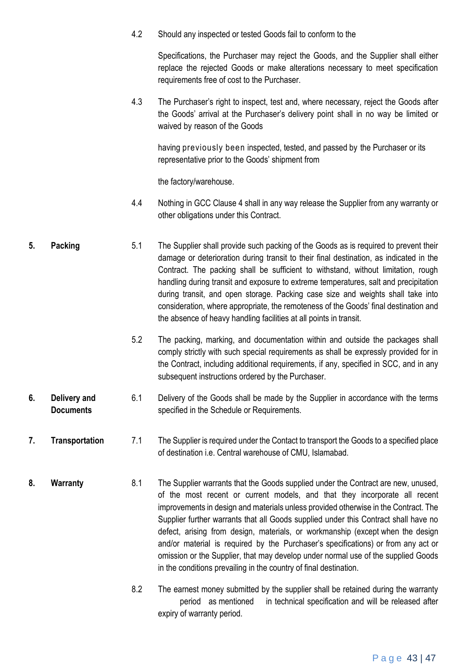4.2 Should any inspected or tested Goods fail to conform to the

Specifications, the Purchaser may reject the Goods, and the Supplier shall either replace the rejected Goods or make alterations necessary to meet specification requirements free of cost to the Purchaser.

4.3 The Purchaser's right to inspect, test and, where necessary, reject the Goods after the Goods' arrival at the Purchaser's delivery point shall in no way be limited or waived by reason of the Goods

having previously been inspected, tested, and passed by the Purchaser or its representative prior to the Goods' shipment from

the factory/warehouse.

- 4.4 Nothing in GCC Clause 4 shall in any way release the Supplier from any warranty or other obligations under this Contract.
- **5. Packing** 5.1 The Supplier shall provide such packing of the Goods as is required to prevent their damage or deterioration during transit to their final destination, as indicated in the Contract. The packing shall be sufficient to withstand, without limitation, rough handling during transit and exposure to extreme temperatures, salt and precipitation during transit, and open storage. Packing case size and weights shall take into consideration, where appropriate, the remoteness of the Goods' final destination and the absence of heavy handling facilities at all points in transit.
	- 5.2 The packing, marking, and documentation within and outside the packages shall comply strictly with such special requirements as shall be expressly provided for in the Contract, including additional requirements, if any, specified in SCC, and in any subsequent instructions ordered by the Purchaser.
- **6. Delivery and Documents** 6.1 Delivery of the Goods shall be made by the Supplier in accordance with the terms specified in the Schedule or Requirements.
- **7. Transportation** 7.1 The Supplier is required under the Contact to transport the Goods to a specified place of destination i.e. Central warehouse of CMU, Islamabad.
- **8. Warranty** 8.1 The Supplier warrants that the Goods supplied under the Contract are new, unused, of the most recent or current models, and that they incorporate all recent improvements in design and materials unless provided otherwise in the Contract. The Supplier further warrants that all Goods supplied under this Contract shall have no defect, arising from design, materials, or workmanship (except when the design and/or material is required by the Purchaser's specifications) or from any act or omission or the Supplier, that may develop under normal use of the supplied Goods in the conditions prevailing in the country of final destination.
	- 8.2 The earnest money submitted by the supplier shall be retained during the warranty period as mentioned in technical specification and will be released after expiry of warranty period.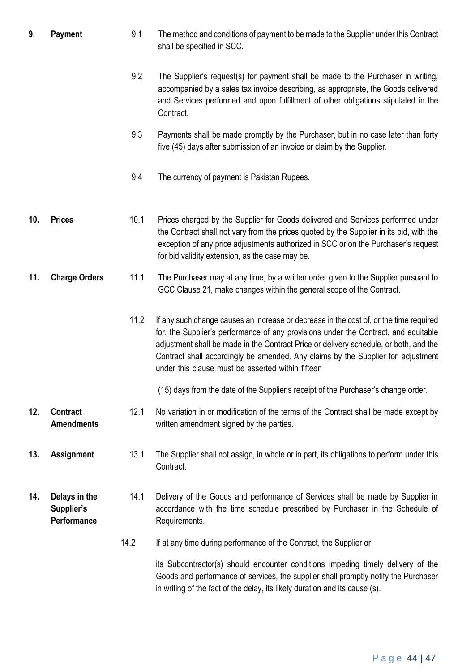**9. Payment** 9.1 The method and conditions of payment to be made to the Supplier under this Contract shall be specified in SCC. 9.2 The Supplier's request(s) for payment shall be made to the Purchaser in writing, accompanied by a sales tax invoice describing, as appropriate, the Goods delivered and Services performed and upon fulfillment of other obligations stipulated in the Contract. 9.3 Payments shall be made promptly by the Purchaser, but in no case later than forty five (45) days after submission of an invoice or claim by the Supplier. 9.4 The currency of payment is Pakistan Rupees. **10. Prices** 10.1 Prices charged by the Supplier for Goods delivered and Services performed under the Contract shall not vary from the prices quoted by the Supplier in its bid, with the exception of any price adjustments authorized in SCC or on the Purchaser's request for bid validity extension, as the case may be. **11. Charge Orders** 11.1 The Purchaser may at any time, by a written order given to the Supplier pursuant to GCC Clause 21, make changes within the general scope of the Contract. 11.2 If any such change causes an increase or decrease in the cost of, or the time required for, the Supplier's performance of any provisions under the Contract, and equitable adjustment shall be made in the Contract Price or delivery schedule, or both, and the Contract shall accordingly be amended. Any claims by the Supplier for adjustment under this clause must be asserted within fifteen (15) days from the date of the Supplier's receipt of the Purchaser's change order. **12. Contract Amendments** 12.1 No variation in or modification of the terms of the Contract shall be made except by written amendment signed by the parties. **13. Assignment** 13.1 The Supplier shall not assign, in whole or in part, its obligations to perform under this Contract. **14. Delays in the Supplier's Performance** 14.1 Delivery of the Goods and performance of Services shall be made by Supplier in accordance with the time schedule prescribed by Purchaser in the Schedule of Requirements. 14.2 If at any time during performance of the Contract, the Supplier or its Subcontractor(s) should encounter conditions impeding timely delivery of the Goods and performance of services, the supplier shall promptly notify the Purchaser in writing of the fact of the delay, its likely duration and its cause (s).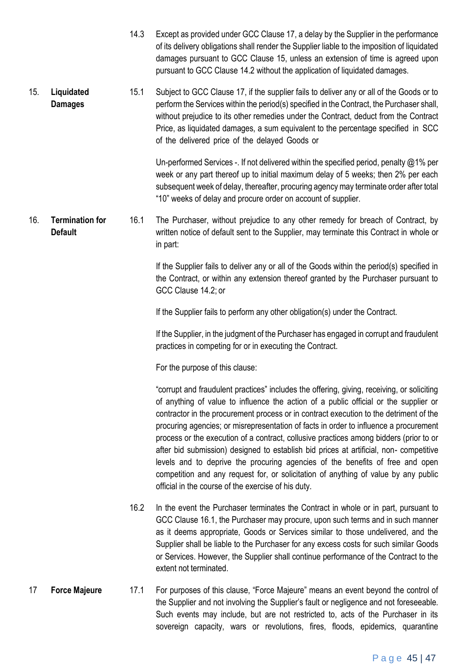- 14.3 Except as provided under GCC Clause 17, a delay by the Supplier in the performance of its delivery obligations shall render the Supplier liable to the imposition of liquidated damages pursuant to GCC Clause 15, unless an extension of time is agreed upon pursuant to GCC Clause 14.2 without the application of liquidated damages.
- 15. **Liquidated Damages** 15.1 Subject to GCC Clause 17, if the supplier fails to deliver any or all of the Goods or to perform the Services within the period(s) specified in the Contract, the Purchaser shall, without prejudice to its other remedies under the Contract, deduct from the Contract Price, as liquidated damages, a sum equivalent to the percentage specified in SCC of the delivered price of the delayed Goods or

Un-performed Services -. If not delivered within the specified period, penalty @1% per week or any part thereof up to initial maximum delay of 5 weeks; then 2% per each subsequent week of delay, thereafter, procuring agency may terminate order after total "10" weeks of delay and procure order on account of supplier.

16. **Termination for Default** 16.1 The Purchaser, without prejudice to any other remedy for breach of Contract, by written notice of default sent to the Supplier, may terminate this Contract in whole or in part:

> If the Supplier fails to deliver any or all of the Goods within the period(s) specified in the Contract, or within any extension thereof granted by the Purchaser pursuant to GCC Clause 14.2; or

If the Supplier fails to perform any other obligation(s) under the Contract.

If the Supplier, in the judgment of the Purchaser has engaged in corrupt and fraudulent practices in competing for or in executing the Contract.

For the purpose of this clause:

"corrupt and fraudulent practices" includes the offering, giving, receiving, or soliciting of anything of value to influence the action of a public official or the supplier or contractor in the procurement process or in contract execution to the detriment of the procuring agencies; or misrepresentation of facts in order to influence a procurement process or the execution of a contract, collusive practices among bidders (prior to or after bid submission) designed to establish bid prices at artificial, non- competitive levels and to deprive the procuring agencies of the benefits of free and open competition and any request for, or solicitation of anything of value by any public official in the course of the exercise of his duty.

- 16.2 In the event the Purchaser terminates the Contract in whole or in part, pursuant to GCC Clause 16.1, the Purchaser may procure, upon such terms and in such manner as it deems appropriate, Goods or Services similar to those undelivered, and the Supplier shall be liable to the Purchaser for any excess costs for such similar Goods or Services. However, the Supplier shall continue performance of the Contract to the extent not terminated.
- 17 **Force Majeure** 17.1 For purposes of this clause, "Force Majeure" means an event beyond the control of the Supplier and not involving the Supplier's fault or negligence and not foreseeable. Such events may include, but are not restricted to, acts of the Purchaser in its sovereign capacity, wars or revolutions, fires, floods, epidemics, quarantine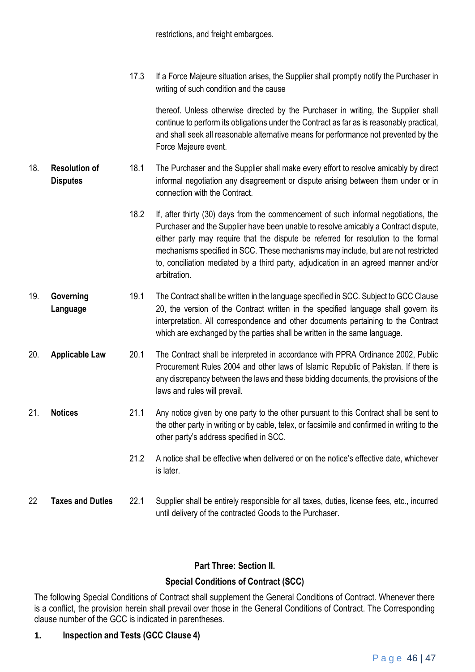17.3 If a Force Majeure situation arises, the Supplier shall promptly notify the Purchaser in writing of such condition and the cause

thereof. Unless otherwise directed by the Purchaser in writing, the Supplier shall continue to perform its obligations under the Contract as far as is reasonably practical, and shall seek all reasonable alternative means for performance not prevented by the Force Majeure event.

- 18. **Resolution of Disputes** 18.1 The Purchaser and the Supplier shall make every effort to resolve amicably by direct informal negotiation any disagreement or dispute arising between them under or in connection with the Contract.
	- 18.2 If, after thirty (30) days from the commencement of such informal negotiations, the Purchaser and the Supplier have been unable to resolve amicably a Contract dispute, either party may require that the dispute be referred for resolution to the formal mechanisms specified in SCC. These mechanisms may include, but are not restricted to, conciliation mediated by a third party, adjudication in an agreed manner and/or arbitration.
- 19. **Governing Language** 19.1 The Contract shall be written in the language specified in SCC. Subject to GCC Clause 20, the version of the Contract written in the specified language shall govern its interpretation. All correspondence and other documents pertaining to the Contract which are exchanged by the parties shall be written in the same language.
- 20. **Applicable Law** 20.1 The Contract shall be interpreted in accordance with PPRA Ordinance 2002, Public Procurement Rules 2004 and other laws of Islamic Republic of Pakistan. If there is any discrepancy between the laws and these bidding documents, the provisions of the laws and rules will prevail.
- 21. **Notices** 21.1 Any notice given by one party to the other pursuant to this Contract shall be sent to the other party in writing or by cable, telex, or facsimile and confirmed in writing to the other party's address specified in SCC.
	- 21.2 A notice shall be effective when delivered or on the notice's effective date, whichever is later.

22 **Taxes and Duties** 22.1 Supplier shall be entirely responsible for all taxes, duties, license fees, etc., incurred until delivery of the contracted Goods to the Purchaser.

#### **Part Three: Section II.**

#### **Special Conditions of Contract (SCC)**

The following Special Conditions of Contract shall supplement the General Conditions of Contract. Whenever there is a conflict, the provision herein shall prevail over those in the General Conditions of Contract. The Corresponding clause number of the GCC is indicated in parentheses.

#### **1. Inspection and Tests (GCC Clause 4)**